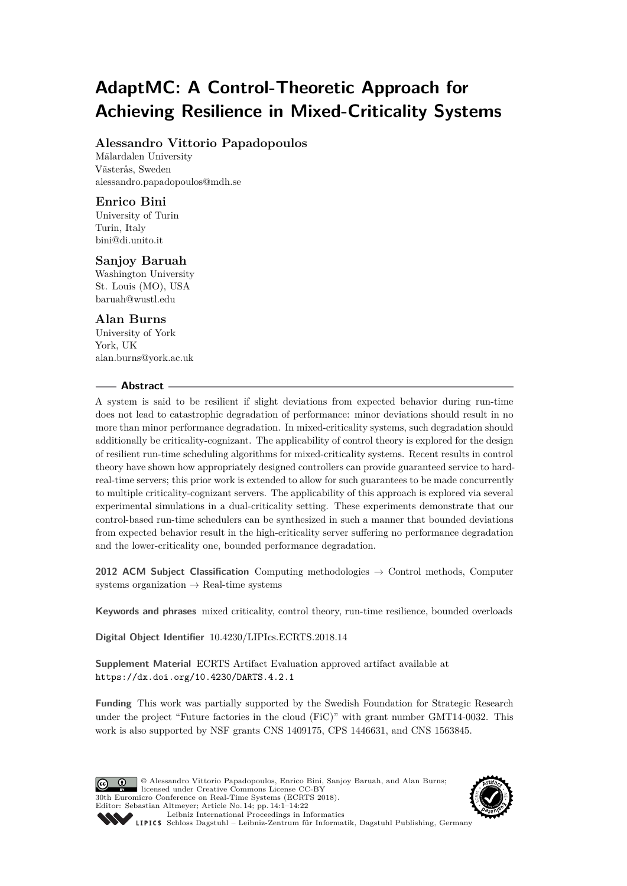# **AdaptMC: A Control-Theoretic Approach for Achieving Resilience in Mixed-Criticality Systems**

# **Alessandro Vittorio Papadopoulos**

Mälardalen University Västerås, Sweden [alessandro.papadopoulos@mdh.se](mailto:alessandro.papadopoulos@mdh.se)

# **Enrico Bini**

University of Turin Turin, Italy [bini@di.unito.it](mailto:bini@di.unito.it)

# **Sanjoy Baruah**

Washington University St. Louis (MO), USA [baruah@wustl.edu](mailto:baruah@wustl.edu)

# **Alan Burns**

University of York York, UK [alan.burns@york.ac.uk](mailto:alan.burns@york.ac.uk)

### **Abstract**

A system is said to be resilient if slight deviations from expected behavior during run-time does not lead to catastrophic degradation of performance: minor deviations should result in no more than minor performance degradation. In mixed-criticality systems, such degradation should additionally be criticality-cognizant. The applicability of control theory is explored for the design of resilient run-time scheduling algorithms for mixed-criticality systems. Recent results in control theory have shown how appropriately designed controllers can provide guaranteed service to hardreal-time servers; this prior work is extended to allow for such guarantees to be made concurrently to multiple criticality-cognizant servers. The applicability of this approach is explored via several experimental simulations in a dual-criticality setting. These experiments demonstrate that our control-based run-time schedulers can be synthesized in such a manner that bounded deviations from expected behavior result in the high-criticality server suffering no performance degradation and the lower-criticality one, bounded performance degradation.

**2012 ACM Subject Classification** Computing methodologies → Control methods, Computer systems organization  $\rightarrow$  Real-time systems

**Keywords and phrases** mixed criticality, control theory, run-time resilience, bounded overloads

**Digital Object Identifier** [10.4230/LIPIcs.ECRTS.2018.14](http://dx.doi.org/10.4230/LIPIcs.ECRTS.2018.14)

**Supplement Material** ECRTS Artifact Evaluation approved artifact available at <https://dx.doi.org/10.4230/DARTS.4.2.1>

**Funding** This work was partially supported by the Swedish Foundation for Strategic Research under the project "Future factories in the cloud (FiC)" with grant number GMT14-0032. This work is also supported by NSF grants CNS 1409175, CPS 1446631, and CNS 1563845.

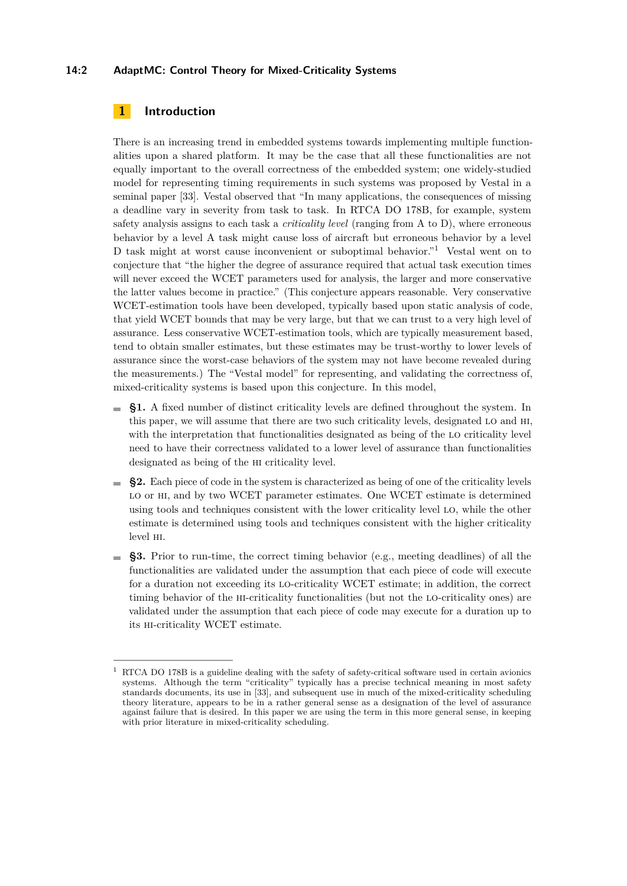### **14:2 AdaptMC: Control Theory for Mixed-Criticality Systems**

# <span id="page-1-1"></span>**1 Introduction**

There is an increasing trend in embedded systems towards implementing multiple functionalities upon a shared platform. It may be the case that all these functionalities are not equally important to the overall correctness of the embedded system; one widely-studied model for representing timing requirements in such systems was proposed by Vestal in a seminal paper [\[33\]](#page-17-0). Vestal observed that "In many applications, the consequences of missing a deadline vary in severity from task to task. In RTCA DO 178B, for example, system safety analysis assigns to each task a *criticality level* (ranging from A to D), where erroneous behavior by a level A task might cause loss of aircraft but erroneous behavior by a level D task might at worst cause inconvenient or suboptimal behavior."[1](#page-1-0) Vestal went on to conjecture that "the higher the degree of assurance required that actual task execution times will never exceed the WCET parameters used for analysis, the larger and more conservative the latter values become in practice." (This conjecture appears reasonable. Very conservative WCET-estimation tools have been developed, typically based upon static analysis of code, that yield WCET bounds that may be very large, but that we can trust to a very high level of assurance. Less conservative WCET-estimation tools, which are typically measurement based, tend to obtain smaller estimates, but these estimates may be trust-worthy to lower levels of assurance since the worst-case behaviors of the system may not have become revealed during the measurements.) The "Vestal model" for representing, and validating the correctness of, mixed-criticality systems is based upon this conjecture. In this model,

- **§1.** A fixed number of distinct criticality levels are defined throughout the system. In this paper, we will assume that there are two such criticality levels, designated lo and hi, with the interpretation that functionalities designated as being of the lo criticality level need to have their correctness validated to a lower level of assurance than functionalities designated as being of the hi criticality level.
- §2. Each piece of code in the system is characterized as being of one of the criticality levels LO or HI, and by two WCET parameter estimates. One WCET estimate is determined using tools and techniques consistent with the lower criticality level lo, while the other estimate is determined using tools and techniques consistent with the higher criticality level hi.
- **§3.** Prior to run-time, the correct timing behavior (e.g., meeting deadlines) of all the  $\overline{\phantom{a}}$ functionalities are validated under the assumption that each piece of code will execute for a duration not exceeding its lo-criticality WCET estimate; in addition, the correct timing behavior of the hi-criticality functionalities (but not the lo-criticality ones) are validated under the assumption that each piece of code may execute for a duration up to its hi-criticality WCET estimate.

<span id="page-1-0"></span>RTCA DO 178B is a guideline dealing with the safety of safety-critical software used in certain avionics systems. Although the term "criticality" typically has a precise technical meaning in most safety standards documents, its use in [\[33\]](#page-17-0), and subsequent use in much of the mixed-criticality scheduling theory literature, appears to be in a rather general sense as a designation of the level of assurance against failure that is desired. In this paper we are using the term in this more general sense, in keeping with prior literature in mixed-criticality scheduling.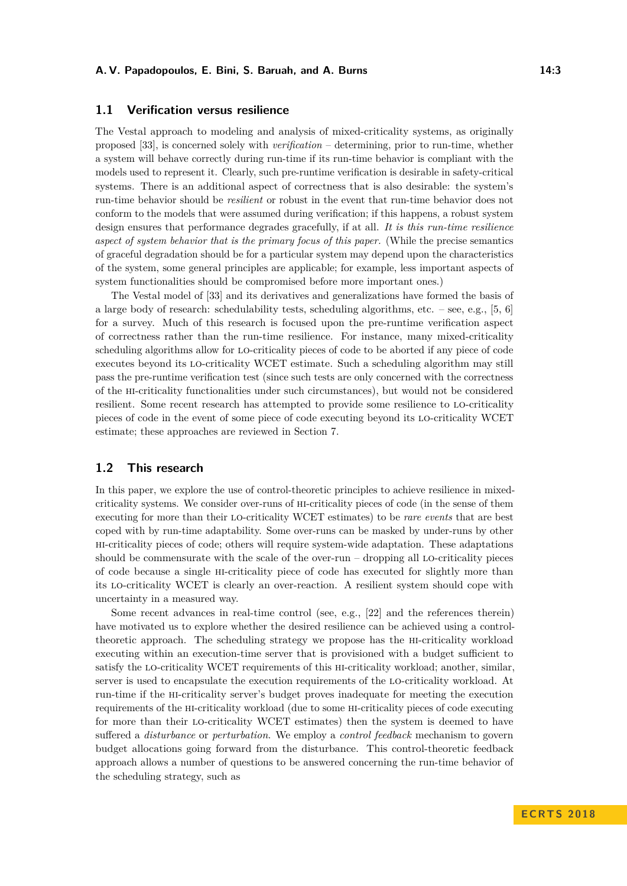### **1.1 Verification versus resilience**

The Vestal approach to modeling and analysis of mixed-criticality systems, as originally proposed [\[33\]](#page-17-0), is concerned solely with *verification* – determining, prior to run-time, whether a system will behave correctly during run-time if its run-time behavior is compliant with the models used to represent it. Clearly, such pre-runtime verification is desirable in safety-critical systems. There is an additional aspect of correctness that is also desirable: the system's run-time behavior should be *resilient* or robust in the event that run-time behavior does not conform to the models that were assumed during verification; if this happens, a robust system design ensures that performance degrades gracefully, if at all. *It is this run-time resilience aspect of system behavior that is the primary focus of this paper.* (While the precise semantics of graceful degradation should be for a particular system may depend upon the characteristics of the system, some general principles are applicable; for example, less important aspects of system functionalities should be compromised before more important ones.)

The Vestal model of [\[33\]](#page-17-0) and its derivatives and generalizations have formed the basis of a large body of research: schedulability tests, scheduling algorithms, etc. – see, e.g., [\[5,](#page-16-0) [6\]](#page-16-1) for a survey. Much of this research is focused upon the pre-runtime verification aspect of correctness rather than the run-time resilience. For instance, many mixed-criticality scheduling algorithms allow for lo-criticality pieces of code to be aborted if any piece of code executes beyond its lo-criticality WCET estimate. Such a scheduling algorithm may still pass the pre-runtime verification test (since such tests are only concerned with the correctness of the hi-criticality functionalities under such circumstances), but would not be considered resilient. Some recent research has attempted to provide some resilience to lo-criticality pieces of code in the event of some piece of code executing beyond its lo-criticality WCET estimate; these approaches are reviewed in Section [7.](#page-15-0)

# **1.2 This research**

In this paper, we explore the use of control-theoretic principles to achieve resilience in mixedcriticality systems. We consider over-runs of hi-criticality pieces of code (in the sense of them executing for more than their lo-criticality WCET estimates) to be *rare events* that are best coped with by run-time adaptability. Some over-runs can be masked by under-runs by other hi-criticality pieces of code; others will require system-wide adaptation. These adaptations should be commensurate with the scale of the over-run – dropping all LO-criticality pieces of code because a single hi-criticality piece of code has executed for slightly more than its lo-criticality WCET is clearly an over-reaction. A resilient system should cope with uncertainty in a measured way.

Some recent advances in real-time control (see, e.g., [\[22\]](#page-17-1) and the references therein) have motivated us to explore whether the desired resilience can be achieved using a controltheoretic approach. The scheduling strategy we propose has the hi-criticality workload executing within an execution-time server that is provisioned with a budget sufficient to satisfy the lo-criticality WCET requirements of this hi-criticality workload; another, similar, server is used to encapsulate the execution requirements of the lo-criticality workload. At run-time if the hi-criticality server's budget proves inadequate for meeting the execution requirements of the hi-criticality workload (due to some hi-criticality pieces of code executing for more than their lo-criticality WCET estimates) then the system is deemed to have suffered a *disturbance* or *perturbation*. We employ a *control feedback* mechanism to govern budget allocations going forward from the disturbance. This control-theoretic feedback approach allows a number of questions to be answered concerning the run-time behavior of the scheduling strategy, such as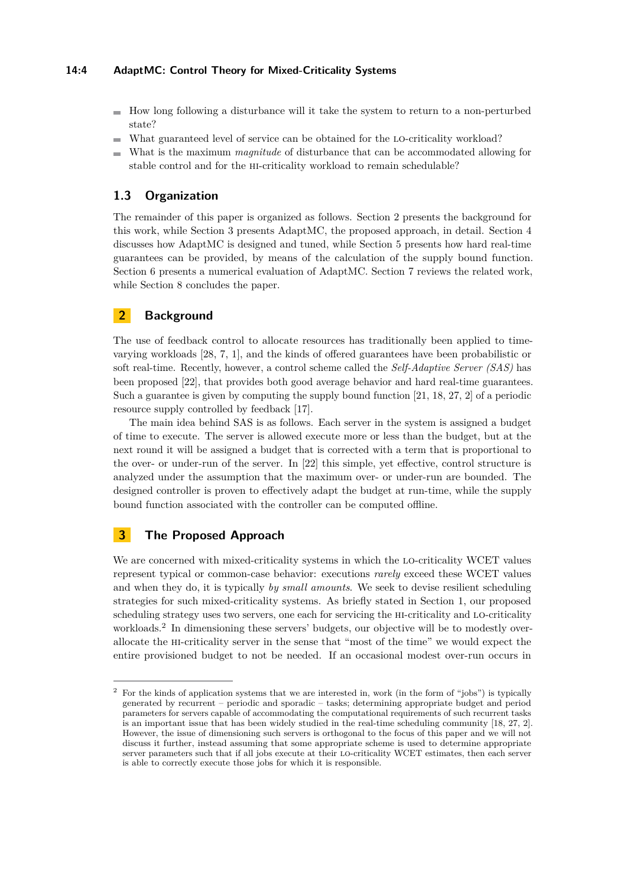### **14:4 AdaptMC: Control Theory for Mixed-Criticality Systems**

- $\blacksquare$  How long following a disturbance will it take the system to return to a non-perturbed state?
- What guaranteed level of service can be obtained for the lo-criticality workload?
- What is the maximum *magnitude* of disturbance that can be accommodated allowing for stable control and for the hi-criticality workload to remain schedulable?

## **1.3 Organization**

The remainder of this paper is organized as follows. Section [2](#page-3-0) presents the background for this work, while Section [3](#page-3-1) presents AdaptMC, the proposed approach, in detail. Section [4](#page-7-0) discusses how AdaptMC is designed and tuned, while Section [5](#page-9-0) presents how hard real-time guarantees can be provided, by means of the calculation of the supply bound function. Section [6](#page-12-0) presents a numerical evaluation of AdaptMC. Section [7](#page-15-0) reviews the related work, while Section [8](#page-15-1) concludes the paper.

# <span id="page-3-0"></span>**2 Background**

The use of feedback control to allocate resources has traditionally been applied to timevarying workloads [\[28,](#page-17-2) [7,](#page-16-2) [1\]](#page-16-3), and the kinds of offered guarantees have been probabilistic or soft real-time. Recently, however, a control scheme called the *Self-Adaptive Server (SAS)* has been proposed [\[22\]](#page-17-1), that provides both good average behavior and hard real-time guarantees. Such a guarantee is given by computing the supply bound function [\[21,](#page-17-3) [18,](#page-17-4) [27,](#page-17-5) [2\]](#page-16-4) of a periodic resource supply controlled by feedback [\[17\]](#page-17-6).

The main idea behind SAS is as follows. Each server in the system is assigned a budget of time to execute. The server is allowed execute more or less than the budget, but at the next round it will be assigned a budget that is corrected with a term that is proportional to the over- or under-run of the server. In [\[22\]](#page-17-1) this simple, yet effective, control structure is analyzed under the assumption that the maximum over- or under-run are bounded. The designed controller is proven to effectively adapt the budget at run-time, while the supply bound function associated with the controller can be computed offline.

# <span id="page-3-1"></span>**3 The Proposed Approach**

We are concerned with mixed-criticality systems in which the LO-criticality WCET values represent typical or common-case behavior: executions *rarely* exceed these WCET values and when they do, it is typically *by small amounts*. We seek to devise resilient scheduling strategies for such mixed-criticality systems. As briefly stated in Section [1,](#page-1-1) our proposed scheduling strategy uses two servers, one each for servicing the hi-criticality and lo-criticality workloads.<sup>[2](#page-3-2)</sup> In dimensioning these servers' budgets, our objective will be to modestly overallocate the hi-criticality server in the sense that "most of the time" we would expect the entire provisioned budget to not be needed. If an occasional modest over-run occurs in

<span id="page-3-2"></span><sup>&</sup>lt;sup>2</sup> For the kinds of application systems that we are interested in, work (in the form of "jobs") is typically generated by recurrent – periodic and sporadic – tasks; determining appropriate budget and period parameters for servers capable of accommodating the computational requirements of such recurrent tasks is an important issue that has been widely studied in the real-time scheduling community [\[18,](#page-17-4) [27,](#page-17-5) [2\]](#page-16-4). However, the issue of dimensioning such servers is orthogonal to the focus of this paper and we will not discuss it further, instead assuming that some appropriate scheme is used to determine appropriate server parameters such that if all jobs execute at their lo-criticality WCET estimates, then each server is able to correctly execute those jobs for which it is responsible.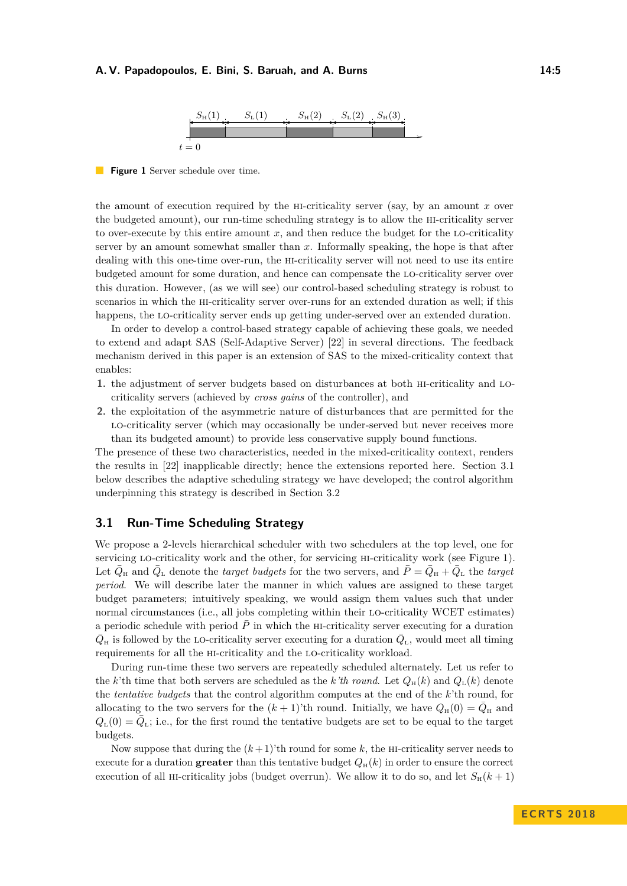

<span id="page-4-1"></span>**Figure 1** Server schedule over time.

the amount of execution required by the hi-criticality server (say, by an amount *x* over the budgeted amount), our run-time scheduling strategy is to allow the hi-criticality server to over-execute by this entire amount *x*, and then reduce the budget for the lo-criticality server by an amount somewhat smaller than *x*. Informally speaking, the hope is that after dealing with this one-time over-run, the hi-criticality server will not need to use its entire budgeted amount for some duration, and hence can compensate the lo-criticality server over this duration. However, (as we will see) our control-based scheduling strategy is robust to scenarios in which the hi-criticality server over-runs for an extended duration as well; if this happens, the lo-criticality server ends up getting under-served over an extended duration.

In order to develop a control-based strategy capable of achieving these goals, we needed to extend and adapt SAS (Self-Adaptive Server) [\[22\]](#page-17-1) in several directions. The feedback mechanism derived in this paper is an extension of SAS to the mixed-criticality context that enables:

- **1.** the adjustment of server budgets based on disturbances at both hi-criticality and locriticality servers (achieved by *cross gains* of the controller), and
- **2.** the exploitation of the asymmetric nature of disturbances that are permitted for the lo-criticality server (which may occasionally be under-served but never receives more than its budgeted amount) to provide less conservative supply bound functions.

The presence of these two characteristics, needed in the mixed-criticality context, renders the results in [\[22\]](#page-17-1) inapplicable directly; hence the extensions reported here. Section [3.1](#page-4-0) below describes the adaptive scheduling strategy we have developed; the control algorithm underpinning this strategy is described in Section [3.2](#page-5-0)

### <span id="page-4-0"></span>**3.1 Run-Time Scheduling Strategy**

We propose a 2-levels hierarchical scheduler with two schedulers at the top level, one for servicing lo-criticality work and the other, for servicing hi-criticality work (see Figure [1\)](#page-4-1). Let  $\bar{Q}_{\rm H}$  and  $\bar{Q}_{\rm L}$  denote the *target budgets* for the two servers, and  $\bar{P} = \bar{Q}_{\rm H} + \bar{Q}_{\rm L}$  the *target period*. We will describe later the manner in which values are assigned to these target budget parameters; intuitively speaking, we would assign them values such that under normal circumstances (i.e., all jobs completing within their lo-criticality WCET estimates) a periodic schedule with period  $\overline{P}$  in which the HI-criticality server executing for a duration  $\bar{Q}_{\text{H}}$  is followed by the LO-criticality server executing for a duration  $\bar{Q}_{\text{L}}$ , would meet all timing requirements for all the hi-criticality and the lo-criticality workload.

During run-time these two servers are repeatedly scheduled alternately. Let us refer to the *k*'th time that both servers are scheduled as the *k*'th round. Let  $Q_H(k)$  and  $Q_L(k)$  denote the *tentative budgets* that the control algorithm computes at the end of the *k*'th round, for allocating to the two servers for the  $(k+1)$ 'th round. Initially, we have  $Q_{\text{H}}(0) = \overline{Q}_{\text{H}}$  and  $Q_{\text{L}}(0) = \bar{Q}_{\text{L}}$ ; i.e., for the first round the tentative budgets are set to be equal to the target budgets.

Now suppose that during the  $(k+1)$ 'th round for some k, the HI-criticality server needs to execute for a duration **greater** than this tentative budget  $Q_H(k)$  in order to ensure the correct execution of all HI-criticality jobs (budget overrun). We allow it to do so, and let  $S_H(k+1)$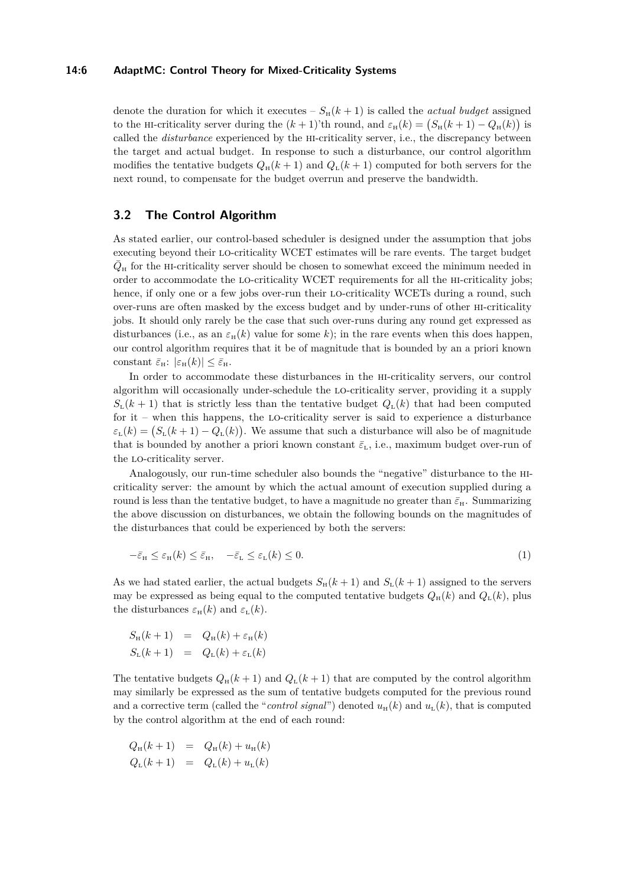#### **14:6 AdaptMC: Control Theory for Mixed-Criticality Systems**

denote the duration for which it executes –  $S_H(k+1)$  is called the *actual budget* assigned to the HI-criticality server during the  $(k+1)$ 'th round, and  $\varepsilon_{H}(k) = (S_{H}(k+1) - Q_{H}(k))$  is called the *disturbance* experienced by the hi-criticality server, i.e., the discrepancy between the target and actual budget. In response to such a disturbance, our control algorithm modifies the tentative budgets  $Q_H(k+1)$  and  $Q_L(k+1)$  computed for both servers for the next round, to compensate for the budget overrun and preserve the bandwidth.

### <span id="page-5-0"></span>**3.2 The Control Algorithm**

As stated earlier, our control-based scheduler is designed under the assumption that jobs executing beyond their lo-criticality WCET estimates will be rare events. The target budget  $\bar{Q}_{\rm H}$  for the HI-criticality server should be chosen to somewhat exceed the minimum needed in order to accommodate the lo-criticality WCET requirements for all the hi-criticality jobs; hence, if only one or a few jobs over-run their LO-criticality WCETs during a round, such over-runs are often masked by the excess budget and by under-runs of other hi-criticality jobs. It should only rarely be the case that such over-runs during any round get expressed as disturbances (i.e., as an  $\varepsilon<sub>H</sub>(k)$  value for some k); in the rare events when this does happen, our control algorithm requires that it be of magnitude that is bounded by an a priori known constant  $\bar{\varepsilon}_{\rm H}$ :  $|\varepsilon_{\rm H}(k)| \leq \bar{\varepsilon}_{\rm H}$ .

In order to accommodate these disturbances in the hi-criticality servers, our control algorithm will occasionally under-schedule the lo-criticality server, providing it a supply  $S_{\text{L}}(k+1)$  that is strictly less than the tentative budget  $Q_{\text{L}}(k)$  that had been computed for it – when this happens, the lo-criticality server is said to experience a disturbance  $\varepsilon_{\text{L}}(k) = (S_{\text{L}}(k+1) - Q_{\text{L}}(k))$ . We assume that such a disturbance will also be of magnitude that is bounded by another a priori known constant  $\bar{\varepsilon}_{L}$ , i.e., maximum budget over-run of the lo-criticality server.

Analogously, our run-time scheduler also bounds the "negative" disturbance to the hicriticality server: the amount by which the actual amount of execution supplied during a round is less than the tentative budget, to have a magnitude no greater than  $\bar{\varepsilon}_{H}$ . Summarizing the above discussion on disturbances, we obtain the following bounds on the magnitudes of the disturbances that could be experienced by both the servers:

<span id="page-5-1"></span>
$$
-\bar{\varepsilon}_{\rm H} \le \varepsilon_{\rm H}(k) \le \bar{\varepsilon}_{\rm H}, \quad -\bar{\varepsilon}_{\rm L} \le \varepsilon_{\rm L}(k) \le 0. \tag{1}
$$

As we had stated earlier, the actual budgets  $S_H(k+1)$  and  $S_L(k+1)$  assigned to the servers may be expressed as being equal to the computed tentative budgets  $Q_H(k)$  and  $Q_L(k)$ , plus the disturbances  $\varepsilon_{\text{H}}(k)$  and  $\varepsilon_{\text{L}}(k)$ .

$$
S_{\rm H}(k+1) = Q_{\rm H}(k) + \varepsilon_{\rm H}(k)
$$
  

$$
S_{\rm L}(k+1) = Q_{\rm L}(k) + \varepsilon_{\rm L}(k)
$$

The tentative budgets  $Q_H(k+1)$  and  $Q_L(k+1)$  that are computed by the control algorithm may similarly be expressed as the sum of tentative budgets computed for the previous round and a corrective term (called the "*control signal*") denoted  $u_{\text{H}}(k)$  and  $u_{\text{L}}(k)$ , that is computed by the control algorithm at the end of each round:

$$
Q_{\rm H}(k+1) = Q_{\rm H}(k) + u_{\rm H}(k)
$$
  

$$
Q_{\rm L}(k+1) = Q_{\rm L}(k) + u_{\rm L}(k)
$$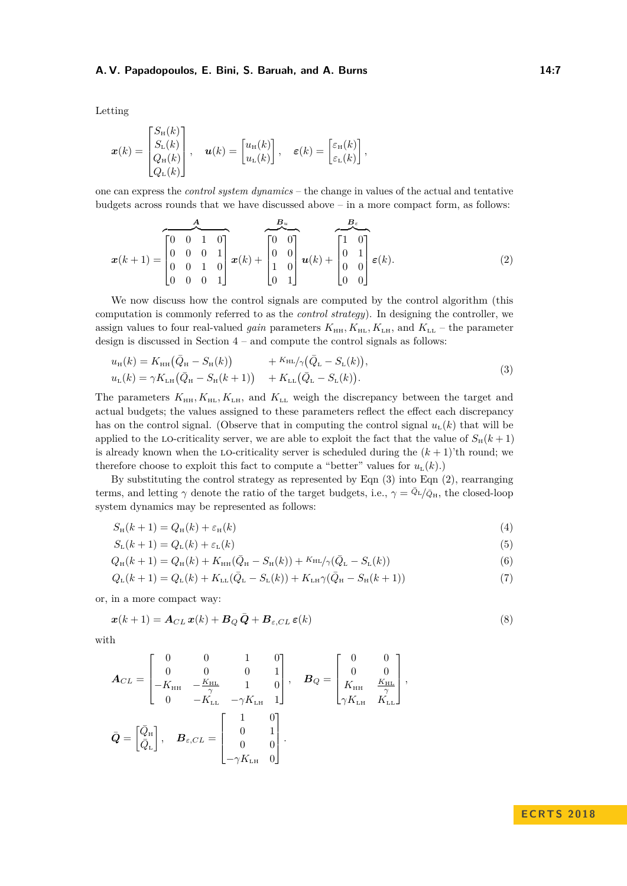Letting

$$
\boldsymbol{x}(k) = \begin{bmatrix} S_{\text{H}}(k) \\ S_{\text{L}}(k) \\ Q_{\text{H}}(k) \\ Q_{\text{L}}(k) \end{bmatrix}, \quad \boldsymbol{u}(k) = \begin{bmatrix} u_{\text{H}}(k) \\ u_{\text{L}}(k) \end{bmatrix}, \quad \boldsymbol{\varepsilon}(k) = \begin{bmatrix} \varepsilon_{\text{H}}(k) \\ \varepsilon_{\text{L}}(k) \end{bmatrix},
$$

one can express the *control system dynamics* – the change in values of the actual and tentative budgets across rounds that we have discussed above – in a more compact form, as follows:

<span id="page-6-1"></span>
$$
x(k+1) = \begin{bmatrix} 4 & B_u \\ 0 & 0 & 1 & 0 \\ 0 & 0 & 0 & 1 \\ 0 & 0 & 1 & 0 \\ 0 & 0 & 0 & 1 \end{bmatrix} x(k) + \begin{bmatrix} B_u \\ 0 & 0 \\ 0 & 0 \\ 1 & 0 \\ 0 & 1 \end{bmatrix} u(k) + \begin{bmatrix} 1 & 0 \\ 0 & 1 \\ 0 & 0 \\ 0 & 0 \end{bmatrix} \varepsilon(k).
$$
 (2)

We now discuss how the control signals are computed by the control algorithm (this computation is commonly referred to as the *control strategy*). In designing the controller, we assign values to four real-valued *gain* parameters  $K_{\text{HH}}, K_{\text{HL}}, K_{\text{LH}},$  and  $K_{\text{LL}}$  – the parameter design is discussed in Section [4](#page-7-0) – and compute the control signals as follows:

<span id="page-6-0"></span>
$$
u_{\rm H}(k) = K_{\rm HH}(\bar{Q}_{\rm H} - S_{\rm H}(k)) + K_{\rm HL}/\gamma(\bar{Q}_{\rm L} - S_{\rm L}(k)),
$$
  
\n
$$
u_{\rm L}(k) = \gamma K_{\rm LH}(\bar{Q}_{\rm H} - S_{\rm H}(k+1)) + K_{\rm LL}(\bar{Q}_{\rm L} - S_{\rm L}(k)).
$$
\n(3)

The parameters  $K_{\text{HH}}, K_{\text{HL}}, K_{\text{L},H}$ , and  $K_{\text{LL}}$  weigh the discrepancy between the target and actual budgets; the values assigned to these parameters reflect the effect each discrepancy has on the control signal. (Observe that in computing the control signal  $u<sub>L</sub>(k)$  that will be applied to the LO-criticality server, we are able to exploit the fact that the value of  $S_H(k+1)$ is already known when the LO-criticality server is scheduled during the  $(k + 1)$ 'th round; we therefore choose to exploit this fact to compute a "better" values for  $u_{\text{L}}(k)$ .)

By substituting the control strategy as represented by Eqn [\(3\)](#page-6-0) into Eqn [\(2\)](#page-6-1), rearranging terms, and letting  $\gamma$  denote the ratio of the target budgets, i.e.,  $\gamma = \bar{Q}_L/\bar{Q}_H$ , the closed-loop system dynamics may be represented as follows:

<span id="page-6-3"></span>
$$
S_{\mathrm{H}}(k+1) = Q_{\mathrm{H}}(k) + \varepsilon_{\mathrm{H}}(k) \tag{4}
$$

<span id="page-6-6"></span><span id="page-6-5"></span><span id="page-6-4"></span>
$$
S_{\mathcal{L}}(k+1) = Q_{\mathcal{L}}(k) + \varepsilon_{\mathcal{L}}(k) \tag{5}
$$

$$
Q_{\rm H}(k+1) = Q_{\rm H}(k) + K_{\rm HH}(\bar{Q}_{\rm H} - S_{\rm H}(k)) + K_{\rm HL}/\gamma(\bar{Q}_{\rm L} - S_{\rm L}(k))
$$
\n(6)

<span id="page-6-2"></span>
$$
Q_{\rm L}(k+1) = Q_{\rm L}(k) + K_{\rm LL}(\bar{Q}_{\rm L} - S_{\rm L}(k)) + K_{\rm LH} \gamma(\bar{Q}_{\rm H} - S_{\rm H}(k+1))
$$
\n(7)

or, in a more compact way:

$$
\boldsymbol{x}(k+1) = \boldsymbol{A}_{CL}\,\boldsymbol{x}(k) + \boldsymbol{B}_{Q}\,\bar{\boldsymbol{Q}} + \boldsymbol{B}_{\varepsilon,CL}\,\boldsymbol{\varepsilon}(k)
$$
\n(8)

with

$$
\mathbf{A}_{CL} = \begin{bmatrix} 0 & 0 & 1 & 0 \\ 0 & 0 & 0 & 1 \\ -K_{\text{HH}} & -\frac{K_{\text{HL}}}{\gamma} & 1 & 0 \\ 0 & -K_{\text{LL}} & -\gamma K_{\text{LH}} & 1 \end{bmatrix}, \quad \mathbf{B}_{Q} = \begin{bmatrix} 0 & 0 \\ 0 & 0 \\ K_{\text{HH}} & \frac{K_{\text{HL}}}{\gamma} \\ \gamma K_{\text{LH}} & K_{\text{LL}} \end{bmatrix},
$$

$$
\bar{\mathbf{Q}} = \begin{bmatrix} \bar{Q}_{\text{H}} \\ \bar{Q}_{\text{L}} \end{bmatrix}, \quad \mathbf{B}_{\varepsilon, CL} = \begin{bmatrix} 1 & 0 \\ 0 & 1 \\ 0 & 0 \\ -\gamma K_{\text{LH}} & 0 \end{bmatrix}.
$$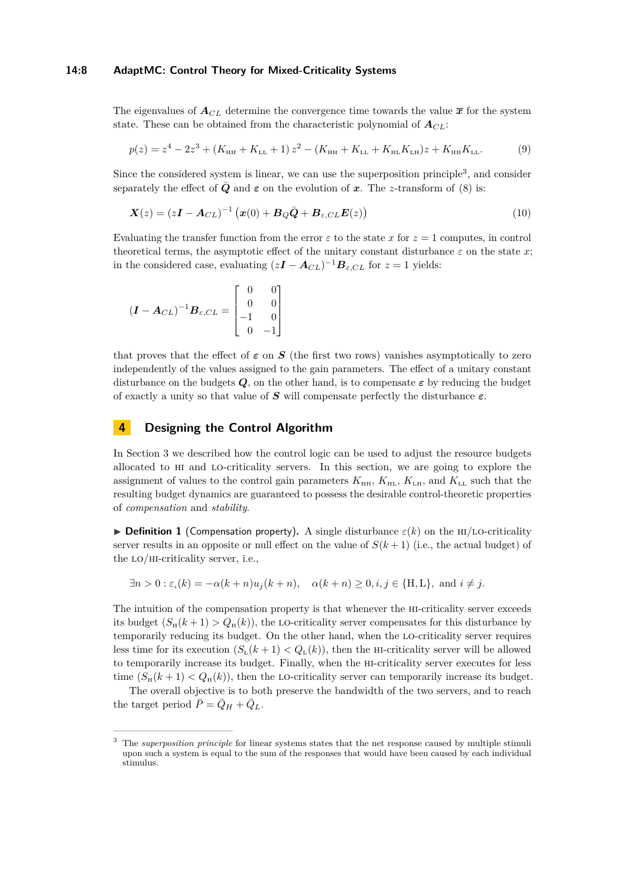#### **14:8 AdaptMC: Control Theory for Mixed-Criticality Systems**

The eigenvalues of  $A_{CL}$  determine the convergence time towards the value  $\bar{x}$  for the system state. These can be obtained from the characteristic polynomial of  $A_{CL}$ :

<span id="page-7-2"></span>
$$
p(z) = z4 - 2z3 + (KHH + KLL + 1) z2 - (KHH + KLL + KHLKLL)z + KHHKLL.
$$
 (9)

Since the considered system is linear, we can use the superposition principle<sup>[3](#page-7-1)</sup>, and consider separately the effect of *Q* and  $\varepsilon$  on the evolution of *x*. The *z*-transform of [\(8\)](#page-6-2) is:

$$
\mathbf{X}(z) = (z\mathbf{I} - \mathbf{A}_{CL})^{-1} \left( \mathbf{x}(0) + \mathbf{B}_{Q} \bar{\mathbf{Q}} + \mathbf{B}_{\varepsilon, CL} \mathbf{E}(z) \right)
$$
(10)

Evaluating the transfer function from the error  $\varepsilon$  to the state x for  $z = 1$  computes, in control theoretical terms, the asymptotic effect of the unitary constant disturbance  $\varepsilon$  on the state x; in the considered case, evaluating  $(zI - A_{CL})^{-1}B_{\varepsilon,CL}$  for  $z = 1$  yields:

$$
(\boldsymbol{I} - \boldsymbol{A}_{CL})^{-1} \boldsymbol{B}_{\varepsilon, CL} = \begin{bmatrix} 0 & 0 \\ 0 & 0 \\ -1 & 0 \\ 0 & -1 \end{bmatrix}
$$

that proves that the effect of  $\varepsilon$  on  $S$  (the first two rows) vanishes asymptotically to zero independently of the values assigned to the gain parameters. The effect of a unitary constant disturbance on the budgets  $Q$ , on the other hand, is to compensate  $\varepsilon$  by reducing the budget of exactly a unity so that value of *S* will compensate perfectly the disturbance *ε*.

# <span id="page-7-0"></span>**4 Designing the Control Algorithm**

In Section [3](#page-3-1) we described how the control logic can be used to adjust the resource budgets allocated to hi and lo-criticality servers. In this section, we are going to explore the assignment of values to the control gain parameters  $K_{\text{HH}}$ ,  $K_{\text{HL}}$ ,  $K_{\text{LH}}$ , and  $K_{\text{LL}}$  such that the resulting budget dynamics are guaranteed to possess the desirable control-theoretic properties of *compensation* and *stability*.

**Definition 1** (Compensation property). A single disturbance  $\varepsilon(k)$  on the HI/LO-criticality server results in an opposite or null effect on the value of  $S(k+1)$  (i.e., the actual budget) of the lo/hi-criticality server, i.e.,

$$
\exists n > 0 : \varepsilon_i(k) = -\alpha(k+n)u_j(k+n), \quad \alpha(k+n) \ge 0, i, j \in \{\text{H}, \text{L}\}, \text{ and } i \ne j.
$$

The intuition of the compensation property is that whenever the hi-criticality server exceeds its budget  $(S_H(k+1) > Q_H(k))$ , the LO-criticality server compensates for this disturbance by temporarily reducing its budget. On the other hand, when the lo-criticality server requires less time for its execution  $(S_L(k+1) < Q_L(k))$ , then the HI-criticality server will be allowed to temporarily increase its budget. Finally, when the hi-criticality server executes for less time  $(S_H(k+1) < Q_H(k))$ , then the LO-criticality server can temporarily increase its budget.

The overall objective is to both preserve the bandwidth of the two servers, and to reach the target period  $\bar{P} = \bar{Q}_H + \bar{Q}_L$ .

<span id="page-7-1"></span><sup>3</sup> The *superposition principle* for linear systems states that the net response caused by multiple stimuli upon such a system is equal to the sum of the responses that would have been caused by each individual stimulus.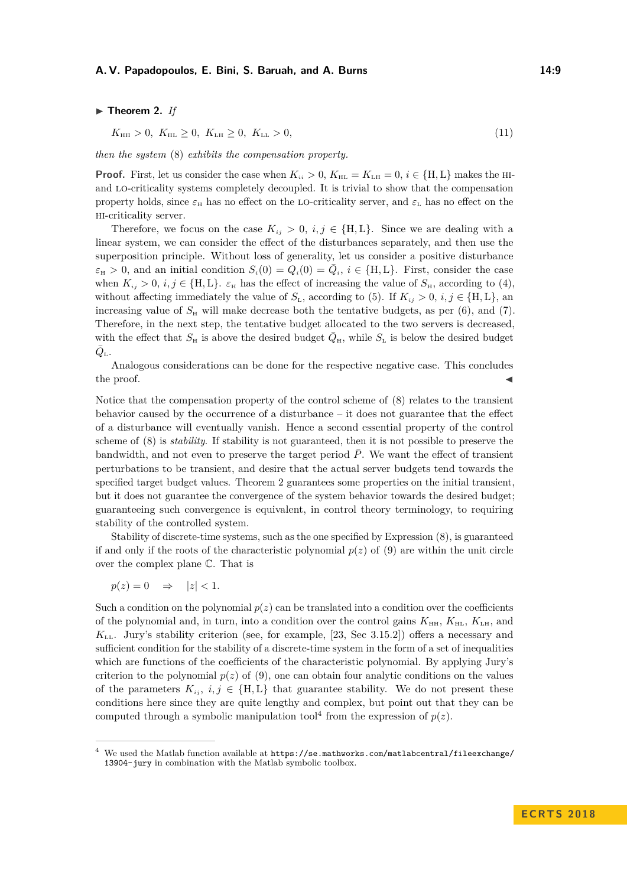#### $\blacktriangleright$  Theorem 2. If

<span id="page-8-0"></span>
$$
K_{\rm HH} > 0, K_{\rm HL} \ge 0, K_{\rm LH} \ge 0, K_{\rm LL} > 0,
$$
\n(11)

*then the system* [\(8\)](#page-6-2) *exhibits the compensation property.*

**Proof.** First, let us consider the case when  $K_{ii} > 0$ ,  $K_{HL} = K_{LH} = 0$ ,  $i \in \{H, L\}$  makes the HIand lo-criticality systems completely decoupled. It is trivial to show that the compensation property holds, since  $\varepsilon_H$  has no effect on the LO-criticality server, and  $\varepsilon_L$  has no effect on the hi-criticality server.

Therefore, we focus on the case  $K_{ij} > 0$ ,  $i, j \in \{H, L\}$ . Since we are dealing with a linear system, we can consider the effect of the disturbances separately, and then use the superposition principle. Without loss of generality, let us consider a positive disturbance  $\varepsilon_{\text{H}} > 0$ , and an initial condition  $S_i(0) = Q_i(0) = \overline{Q}_i$ ,  $i \in \{\text{H}, \text{L}\}\$ . First, consider the case when  $K_{ij} > 0$ ,  $i, j \in \{H, L\}$ .  $\varepsilon_H$  has the effect of increasing the value of  $S_H$ , according to [\(4\)](#page-6-3), without affecting immediately the value of  $S_{\text{L}}$ , according to [\(5\)](#page-6-4). If  $K_{ij} > 0$ ,  $i, j \in \{\text{H}, \text{L}\},$  and increasing value of  $S_{\rm H}$  will make decrease both the tentative budgets, as per [\(6\)](#page-6-5), and [\(7\)](#page-6-6). Therefore, in the next step, the tentative budget allocated to the two servers is decreased, with the effect that  $S_{\rm H}$  is above the desired budget  $\overline{Q}_{\rm H}$ , while  $S_{\rm L}$  is below the desired budget  $\bar{Q}_{\tt L}$  .

Analogous considerations can be done for the respective negative case. This concludes the proof.  $\blacksquare$ 

Notice that the compensation property of the control scheme of [\(8\)](#page-6-2) relates to the transient behavior caused by the occurrence of a disturbance – it does not guarantee that the effect of a disturbance will eventually vanish. Hence a second essential property of the control scheme of [\(8\)](#page-6-2) is *stability*. If stability is not guaranteed, then it is not possible to preserve the bandwidth, and not even to preserve the target period  $\overline{P}$ . We want the effect of transient perturbations to be transient, and desire that the actual server budgets tend towards the specified target budget values. Theorem [2](#page-8-0) guarantees some properties on the initial transient, but it does not guarantee the convergence of the system behavior towards the desired budget; guaranteeing such convergence is equivalent, in control theory terminology, to requiring stability of the controlled system.

Stability of discrete-time systems, such as the one specified by Expression [\(8\)](#page-6-2), is guaranteed if and only if the roots of the characteristic polynomial  $p(z)$  of [\(9\)](#page-7-2) are within the unit circle over the complex plane C. That is

$$
p(z) = 0 \quad \Rightarrow \quad |z| < 1.
$$

Such a condition on the polynomial  $p(z)$  can be translated into a condition over the coefficients of the polynomial and, in turn, into a condition over the control gains  $K_{\text{HH}}, K_{\text{HL}}, K_{\text{LH}},$  and *K*LL. Jury's stability criterion (see, for example, [\[23,](#page-17-7) Sec 3.15.2]) offers a necessary and sufficient condition for the stability of a discrete-time system in the form of a set of inequalities which are functions of the coefficients of the characteristic polynomial. By applying Jury's criterion to the polynomial  $p(z)$  of [\(9\)](#page-7-2), one can obtain four analytic conditions on the values of the parameters  $K_{ij}$ ,  $i, j \in \{H, L\}$  that guarantee stability. We do not present these conditions here since they are quite lengthy and complex, but point out that they can be computed through a symbolic manipulation tool<sup>[4](#page-8-1)</sup> from the expression of  $p(z)$ .

<span id="page-8-1"></span><sup>&</sup>lt;sup>4</sup> We used the Matlab function available at  $https://se.mathworks.com/matlabcentral/fileexchange/$ [13904-jury](https://se.mathworks.com/matlabcentral/fileexchange/13904-jury) in combination with the Matlab symbolic toolbox.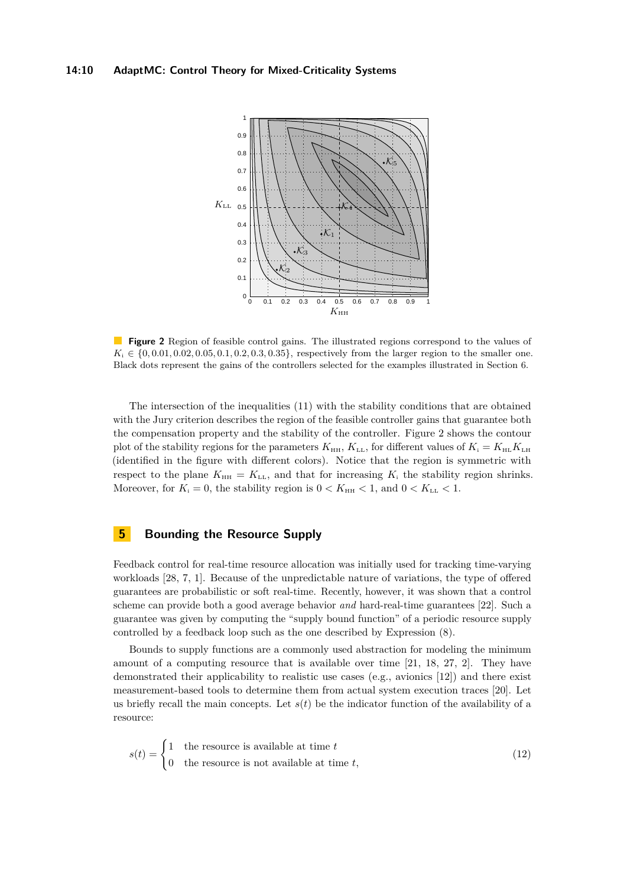<span id="page-9-1"></span>

**Figure 2** Region of feasible control gains. The illustrated regions correspond to the values of  $K_i \in \{0, 0.01, 0.02, 0.05, 0.1, 0.2, 0.3, 0.35\}$ , respectively from the larger region to the smaller one. Black dots represent the gains of the controllers selected for the examples illustrated in Section [6.](#page-12-0)

The intersection of the inequalities [\(11\)](#page-8-0) with the stability conditions that are obtained with the Jury criterion describes the region of the feasible controller gains that guarantee both the compensation property and the stability of the controller. Figure [2](#page-9-1) shows the contour plot of the stability regions for the parameters  $K_{\text{HH}}$ ,  $K_{\text{LL}}$ , for different values of  $K_{\text{i}} = K_{\text{HL}} K_{\text{LH}}$ (identified in the figure with different colors). Notice that the region is symmetric with respect to the plane  $K_{\text{HH}} = K_{\text{LL}}$ , and that for increasing  $K_i$  the stability region shrinks. Moreover, for  $K_i = 0$ , the stability region is  $0 < K_{HH} < 1$ , and  $0 < K_{LL} < 1$ .

# <span id="page-9-0"></span>**5 Bounding the Resource Supply**

Feedback control for real-time resource allocation was initially used for tracking time-varying workloads [\[28,](#page-17-2) [7,](#page-16-2) [1\]](#page-16-3). Because of the unpredictable nature of variations, the type of offered guarantees are probabilistic or soft real-time. Recently, however, it was shown that a control scheme can provide both a good average behavior *and* hard-real-time guarantees [\[22\]](#page-17-1). Such a guarantee was given by computing the "supply bound function" of a periodic resource supply controlled by a feedback loop such as the one described by Expression [\(8\)](#page-6-2).

Bounds to supply functions are a commonly used abstraction for modeling the minimum amount of a computing resource that is available over time [\[21,](#page-17-3) [18,](#page-17-4) [27,](#page-17-5) [2\]](#page-16-4). They have demonstrated their applicability to realistic use cases (e.g., avionics [\[12\]](#page-16-5)) and there exist measurement-based tools to determine them from actual system execution traces [\[20\]](#page-17-8). Let us briefly recall the main concepts. Let  $s(t)$  be the indicator function of the availability of a resource:

<span id="page-9-2"></span>
$$
s(t) = \begin{cases} 1 & \text{the resource is available at time } t \\ 0 & \text{the resource is not available at time } t, \end{cases}
$$
 (12)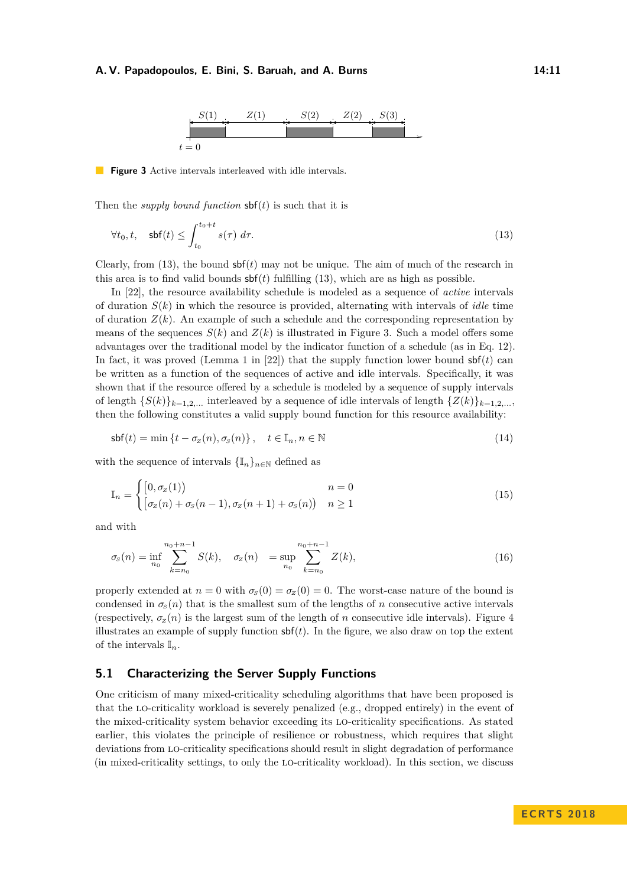<span id="page-10-0"></span>

<span id="page-10-1"></span>**Figure 3** Active intervals interleaved with idle intervals.

Then the *supply bound function*  $\operatorname{sbf}(t)$  is such that it is

$$
\forall t_0, t, \quad \textsf{sbf}(t) \le \int_{t_0}^{t_0 + t} s(\tau) \, d\tau. \tag{13}
$$

Clearly, from  $(13)$ , the bound  $\mathsf{sbf}(t)$  may not be unique. The aim of much of the research in this area is to find valid bounds sbf(*t*) fulfilling [\(13\)](#page-10-0), which are as high as possible.

In [\[22\]](#page-17-1), the resource availability schedule is modeled as a sequence of *active* intervals of duration *S*(*k*) in which the resource is provided, alternating with intervals of *idle* time of duration  $Z(k)$ . An example of such a schedule and the corresponding representation by means of the sequences  $S(k)$  and  $Z(k)$  is illustrated in Figure [3.](#page-10-1) Such a model offers some advantages over the traditional model by the indicator function of a schedule (as in Eq. [12\)](#page-9-2). In fact, it was proved (Lemma 1 in [\[22\]](#page-17-1)) that the supply function lower bound  $\mathsf{sbf}(t)$  can be written as a function of the sequences of active and idle intervals. Specifically, it was shown that if the resource offered by a schedule is modeled by a sequence of supply intervals of length  $\{S(k)\}_{k=1,2,...}$  interleaved by a sequence of idle intervals of length  $\{Z(k)\}_{k=1,2,...}$ then the following constitutes a valid supply bound function for this resource availability:

<span id="page-10-2"></span>
$$
\mathsf{sbf}(t) = \min\left\{t - \sigma_z(n), \sigma_s(n)\right\}, \quad t \in \mathbb{I}_n, n \in \mathbb{N} \tag{14}
$$

with the sequence of intervals  $\{\mathbb{I}_n\}_{n\in\mathbb{N}}$  defined as

$$
\mathbb{I}_n = \begin{cases} \left[0, \sigma_z(1)\right) & n = 0\\ \left[\sigma_z(n) + \sigma_s(n-1), \sigma_z(n+1) + \sigma_s(n)\right) & n \ge 1 \end{cases}
$$
\n(15)

and with

<span id="page-10-3"></span>
$$
\sigma_{S}(n) = \inf_{n_0} \sum_{k=n_0}^{n_0+n-1} S(k), \quad \sigma_{Z}(n) = \sup_{n_0} \sum_{k=n_0}^{n_0+n-1} Z(k), \tag{16}
$$

properly extended at  $n = 0$  with  $\sigma_s(0) = \sigma_z(0) = 0$ . The worst-case nature of the bound is condensed in  $\sigma_s(n)$  that is the smallest sum of the lengths of *n* consecutive active intervals (respectively,  $\sigma_z(n)$  is the largest sum of the length of *n* consecutive idle intervals). Figure [4](#page-11-0) illustrates an example of supply function  $\mathsf{sbf}(t)$ . In the figure, we also draw on top the extent of the intervals  $\mathbb{I}_n$ .

### **5.1 Characterizing the Server Supply Functions**

One criticism of many mixed-criticality scheduling algorithms that have been proposed is that the lo-criticality workload is severely penalized (e.g., dropped entirely) in the event of the mixed-criticality system behavior exceeding its lo-criticality specifications. As stated earlier, this violates the principle of resilience or robustness, which requires that slight deviations from lo-criticality specifications should result in slight degradation of performance (in mixed-criticality settings, to only the lo-criticality workload). In this section, we discuss

**E C R T S 2 0 1 8**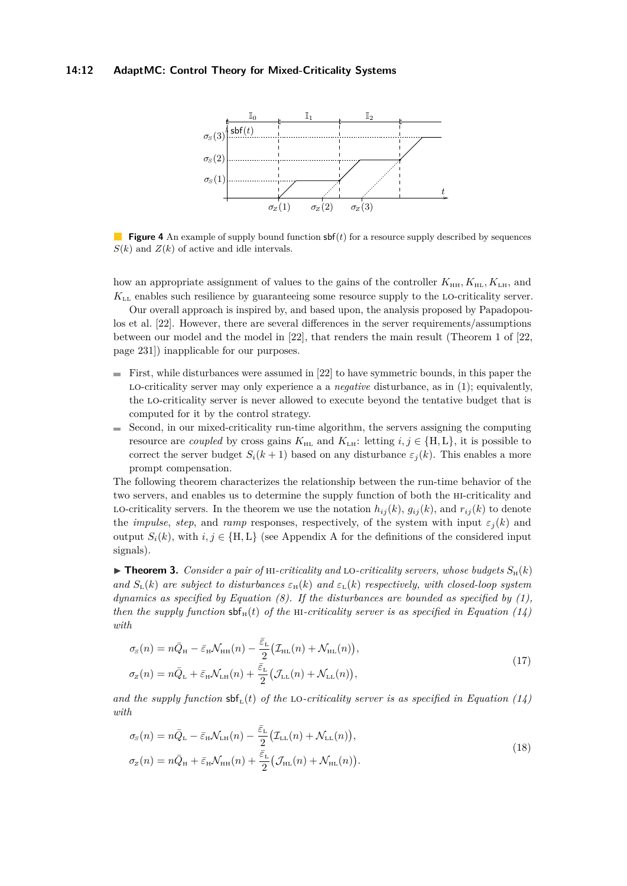#### <span id="page-11-0"></span>**14:12 AdaptMC: Control Theory for Mixed-Criticality Systems**



**Figure 4** An example of supply bound function  $\mathsf{sbf}(t)$  for a resource supply described by sequences  $S(k)$  and  $Z(k)$  of active and idle intervals.

how an appropriate assignment of values to the gains of the controller  $K_{\text{HH}}, K_{\text{HL}}, K_{\text{L},H}}$ , and *K*LL enables such resilience by guaranteeing some resource supply to the lo-criticality server.

Our overall approach is inspired by, and based upon, the analysis proposed by Papadopou-los et al. [\[22\]](#page-17-1). However, there are several differences in the server requirements/assumptions between our model and the model in [\[22\]](#page-17-1), that renders the main result (Theorem 1 of [\[22,](#page-17-1) page 231]) inapplicable for our purposes.

- $\blacksquare$  First, while disturbances were assumed in [\[22\]](#page-17-1) to have symmetric bounds, in this paper the lo-criticality server may only experience a a *negative* disturbance, as in [\(1\)](#page-5-1); equivalently, the lo-criticality server is never allowed to execute beyond the tentative budget that is computed for it by the control strategy.
- $\blacksquare$ Second, in our mixed-criticality run-time algorithm, the servers assigning the computing resource are *coupled* by cross gains  $K_{\text{HL}}$  and  $K_{\text{LH}}$ : letting  $i, j \in \{H, L\}$ , it is possible to correct the server budget  $S_i(k+1)$  based on any disturbance  $\varepsilon_i(k)$ . This enables a more prompt compensation.

The following theorem characterizes the relationship between the run-time behavior of the two servers, and enables us to determine the supply function of both the hi-criticality and LO-criticality servers. In the theorem we use the notation  $h_{ij}(k)$ ,  $g_{ij}(k)$ , and  $r_{ij}(k)$  to denote the *impulse*, *step*, and *ramp* responses, respectively, of the system with input  $\varepsilon_j(k)$  and output  $S_i(k)$ , with  $i, j \in \{H, L\}$  (see [A](#page-18-0)ppendix A for the definitions of the considered input signals).

 $\triangleright$  **Theorem 3.** *Consider a pair of* HI-criticality and LO-criticality servers, whose budgets  $S_H(k)$ *and*  $S_L(k)$  *are subject to disturbances*  $\varepsilon_H(k)$  *and*  $\varepsilon_L(k)$  *respectively, with closed-loop system dynamics as specified by Equation [\(8\)](#page-6-2). If the disturbances are bounded as specified by [\(1\)](#page-5-1), then the supply function*  $\text{sbf}_{\text{H}}(t)$  *of the* HI-criticality server is as specified in Equation [\(14\)](#page-10-2) *with*

<span id="page-11-1"></span>
$$
\sigma_{\rm s}(n) = n\bar{Q}_{\rm H} - \bar{\varepsilon}_{\rm H} \mathcal{N}_{\rm HH}(n) - \frac{\bar{\varepsilon}_{\rm L}}{2} \big( \mathcal{I}_{\rm HL}(n) + \mathcal{N}_{\rm HL}(n) \big),
$$
  
\n
$$
\sigma_{\rm z}(n) = n\bar{Q}_{\rm L} + \bar{\varepsilon}_{\rm H} \mathcal{N}_{\rm LH}(n) + \frac{\bar{\varepsilon}_{\rm L}}{2} \big( \mathcal{J}_{\rm LL}(n) + \mathcal{N}_{\rm LL}(n) \big),
$$
\n(17)

and the supply function  $\text{sbf}_{L}(t)$  of the LO-criticality server is as specified in Equation [\(14\)](#page-10-2) *with*

<span id="page-11-2"></span>
$$
\sigma_{\rm s}(n) = n\bar{Q}_{\rm L} - \bar{\varepsilon}_{\rm H} \mathcal{N}_{\rm LH}(n) - \frac{\bar{\varepsilon}_{\rm L}}{2} \big( \mathcal{I}_{\rm LL}(n) + \mathcal{N}_{\rm LL}(n) \big),
$$
  
\n
$$
\sigma_{\rm z}(n) = n\bar{Q}_{\rm H} + \bar{\varepsilon}_{\rm H} \mathcal{N}_{\rm HH}(n) + \frac{\bar{\varepsilon}_{\rm L}}{2} \big( \mathcal{J}_{\rm HL}(n) + \mathcal{N}_{\rm HL}(n) \big).
$$
\n(18)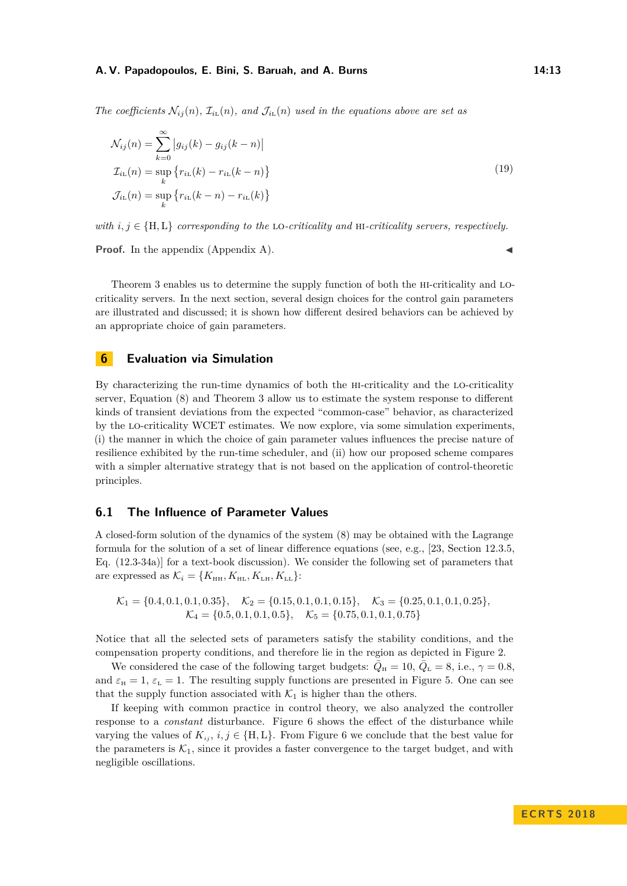*The coefficients*  $\mathcal{N}_{ii}(n)$ *,*  $\mathcal{I}_{ii}(n)$ *, and*  $\mathcal{J}_{ii}(n)$  *used in the equations above are set as* 

<span id="page-12-1"></span>
$$
\mathcal{N}_{ij}(n) = \sum_{k=0}^{\infty} |g_{ij}(k) - g_{ij}(k - n)|
$$
  
\n
$$
\mathcal{I}_{i_{\text{L}}}(n) = \sup_{k} \{ r_{i_{\text{L}}}(k) - r_{i_{\text{L}}}(k - n) \}
$$
  
\n
$$
\mathcal{J}_{i_{\text{L}}}(n) = \sup_{k} \{ r_{i_{\text{L}}}(k - n) - r_{i_{\text{L}}}(k) \}
$$
\n(19)

*with*  $i, j \in \{H, L\}$  *corresponding to the* LO-criticality and HI-criticality servers, respectively.

**Proof.** In the appendix (Appendix [A\)](#page-18-0).

Theorem [3](#page-12-1) enables us to determine the supply function of both the hi-criticality and locriticality servers. In the next section, several design choices for the control gain parameters are illustrated and discussed; it is shown how different desired behaviors can be achieved by an appropriate choice of gain parameters.

### <span id="page-12-0"></span>**6 Evaluation via Simulation**

By characterizing the run-time dynamics of both the hi-criticality and the lo-criticality server, Equation [\(8\)](#page-6-2) and Theorem [3](#page-12-1) allow us to estimate the system response to different kinds of transient deviations from the expected "common-case" behavior, as characterized by the lo-criticality WCET estimates. We now explore, via some simulation experiments, (i) the manner in which the choice of gain parameter values influences the precise nature of resilience exhibited by the run-time scheduler, and (ii) how our proposed scheme compares with a simpler alternative strategy that is not based on the application of control-theoretic principles.

### <span id="page-12-2"></span>**6.1 The Influence of Parameter Values**

A closed-form solution of the dynamics of the system [\(8\)](#page-6-2) may be obtained with the Lagrange formula for the solution of a set of linear difference equations (see, e.g., [\[23,](#page-17-7) Section 12.3.5, Eq. (12.3-34a)] for a text-book discussion). We consider the following set of parameters that are expressed as  $\mathcal{K}_i = \{K_{\text{HH}}, K_{\text{HL}}, K_{\text{LH}}, K_{\text{LL}}\}$ :

$$
\mathcal{K}_1 = \{0.4, 0.1, 0.1, 0.35\}, \quad \mathcal{K}_2 = \{0.15, 0.1, 0.1, 0.15\}, \quad \mathcal{K}_3 = \{0.25, 0.1, 0.1, 0.25\}, \quad \mathcal{K}_4 = \{0.5, 0.1, 0.1, 0.5\}, \quad \mathcal{K}_5 = \{0.75, 0.1, 0.1, 0.75\}
$$

Notice that all the selected sets of parameters satisfy the stability conditions, and the compensation property conditions, and therefore lie in the region as depicted in Figure [2.](#page-9-1)

We considered the case of the following target budgets:  $\overline{Q}_{\text{H}} = 10, \overline{Q}_{\text{L}} = 8$ , i.e.,  $\gamma = 0.8$ , and  $\varepsilon_{\text{H}} = 1$ ,  $\varepsilon_{\text{L}} = 1$ . The resulting supply functions are presented in Figure [5.](#page-13-0) One can see that the supply function associated with  $\mathcal{K}_1$  is higher than the others.

If keeping with common practice in control theory, we also analyzed the controller response to a *constant* disturbance. Figure [6](#page-13-1) shows the effect of the disturbance while varying the values of  $K_i$ ,  $i, j \in \{H, L\}$ . From Figure [6](#page-13-1) we conclude that the best value for the parameters is  $K_1$ , since it provides a faster convergence to the target budget, and with negligible oscillations.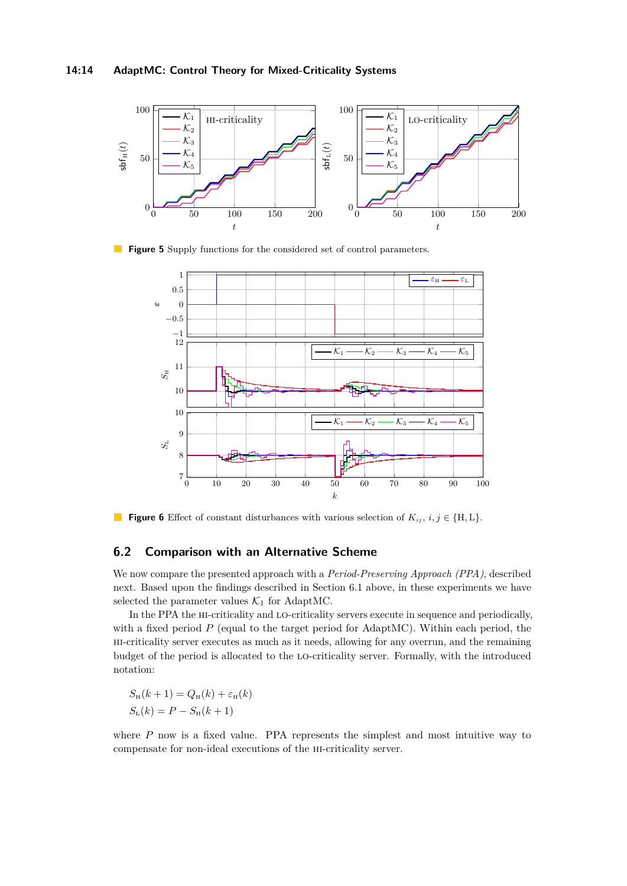<span id="page-13-0"></span>

<span id="page-13-1"></span>**Figure 5** Supply functions for the considered set of control parameters.



**Figure 6** Effect of constant disturbances with various selection of  $K_{ij}$ ,  $i, j \in \{H, L\}$ .

### **6.2 Comparison with an Alternative Scheme**

We now compare the presented approach with a *Period-Preserving Approach (PPA)*, described next. Based upon the findings described in Section [6.1](#page-12-2) above, in these experiments we have selected the parameter values  $K_1$  for AdaptMC.

In the PPA the hi-criticality and lo-criticality servers execute in sequence and periodically, with a fixed period  $P$  (equal to the target period for AdaptMC). Within each period, the hi-criticality server executes as much as it needs, allowing for any overrun, and the remaining budget of the period is allocated to the lo-criticality server. Formally, with the introduced notation:

$$
S_{\mathrm{H}}(k+1) = Q_{\mathrm{H}}(k) + \varepsilon_{\mathrm{H}}(k)
$$

$$
S_{\mathrm{L}}(k) = P - S_{\mathrm{H}}(k+1)
$$

where  $P$  now is a fixed value. PPA represents the simplest and most intuitive way to compensate for non-ideal executions of the hi-criticality server.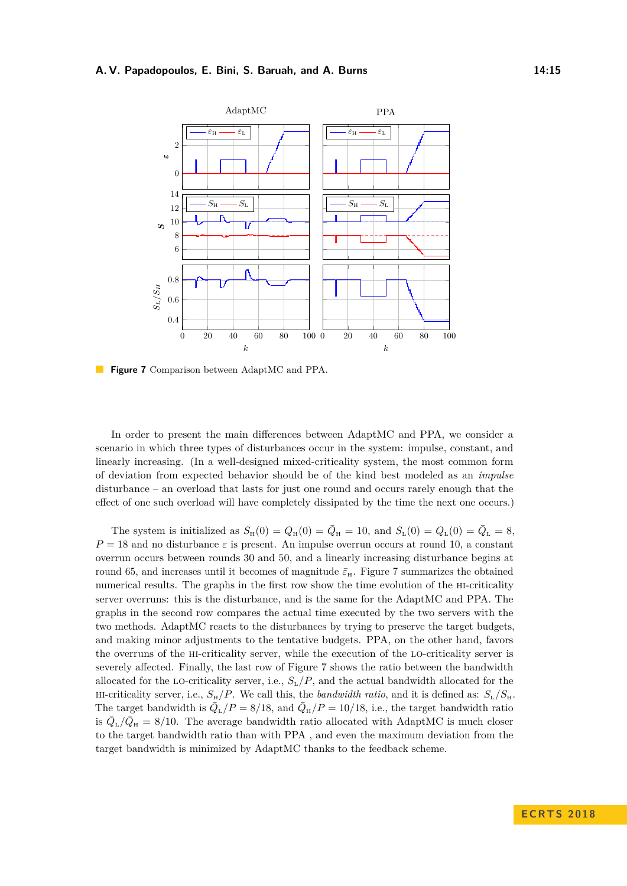<span id="page-14-0"></span>

**Figure 7** Comparison between AdaptMC and PPA.

In order to present the main differences between AdaptMC and PPA, we consider a scenario in which three types of disturbances occur in the system: impulse, constant, and linearly increasing. (In a well-designed mixed-criticality system, the most common form of deviation from expected behavior should be of the kind best modeled as an *impulse* disturbance – an overload that lasts for just one round and occurs rarely enough that the effect of one such overload will have completely dissipated by the time the next one occurs.)

The system is initialized as  $S_H(0) = Q_H(0) = \bar{Q}_{\rm H} = 10$ , and  $S_{\rm L}(0) = Q_{\rm L}(0) = \bar{Q}_{\rm L} = 8$ ,  $P = 18$  and no disturbance  $\varepsilon$  is present. An impulse overrun occurs at round 10, a constant overrun occurs between rounds 30 and 50, and a linearly increasing disturbance begins at round 65, and increases until it becomes of magnitude  $\bar{\varepsilon}_{\rm H}$ . Figure [7](#page-14-0) summarizes the obtained numerical results. The graphs in the first row show the time evolution of the hi-criticality server overruns: this is the disturbance, and is the same for the AdaptMC and PPA. The graphs in the second row compares the actual time executed by the two servers with the two methods. AdaptMC reacts to the disturbances by trying to preserve the target budgets, and making minor adjustments to the tentative budgets. PPA, on the other hand, favors the overruns of the hi-criticality server, while the execution of the lo-criticality server is severely affected. Finally, the last row of Figure [7](#page-14-0) shows the ratio between the bandwidth allocated for the LO-criticality server, i.e.,  $S_{\text{L}}/P$ , and the actual bandwidth allocated for the HI-criticality server, i.e.,  $S_H/P$ . We call this, the *bandwidth ratio*, and it is defined as:  $S_L/S_H$ . The target bandwidth is  $\overline{Q}_{\text{L}}/P = 8/18$ , and  $\overline{Q}_{\text{H}}/P = 10/18$ , i.e., the target bandwidth ratio is  $\bar{Q}_{\text{L}}/\bar{Q}_{\text{H}} = 8/10$ . The average bandwidth ratio allocated with AdaptMC is much closer to the target bandwidth ratio than with PPA , and even the maximum deviation from the target bandwidth is minimized by AdaptMC thanks to the feedback scheme.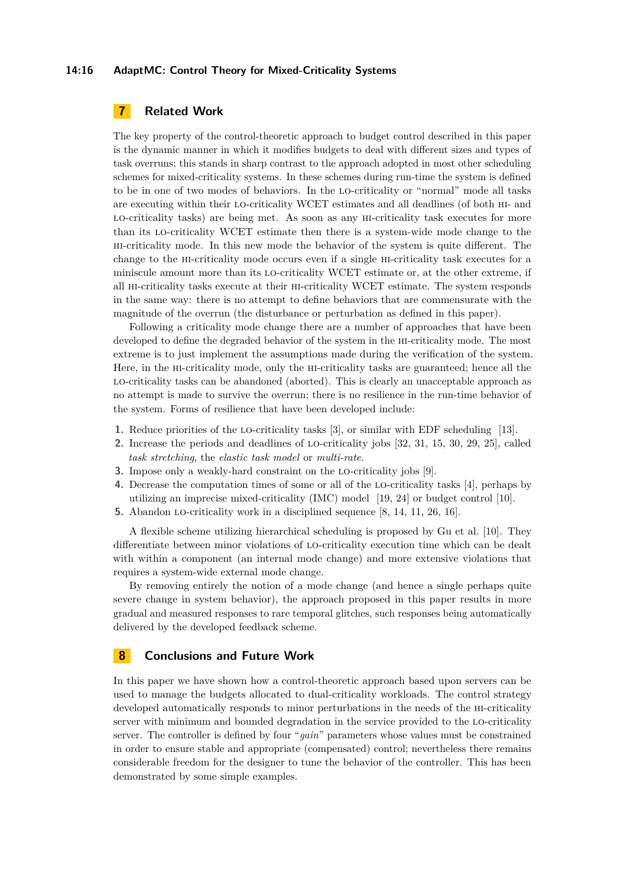#### **14:16 AdaptMC: Control Theory for Mixed-Criticality Systems**

# <span id="page-15-0"></span>**7 Related Work**

The key property of the control-theoretic approach to budget control described in this paper is the dynamic manner in which it modifies budgets to deal with different sizes and types of task overruns; this stands in sharp contrast to the approach adopted in most other scheduling schemes for mixed-criticality systems. In these schemes during run-time the system is defined to be in one of two modes of behaviors. In the lo-criticality or "normal" mode all tasks are executing within their lo-criticality WCET estimates and all deadlines (of both hi- and lo-criticality tasks) are being met. As soon as any hi-criticality task executes for more than its lo-criticality WCET estimate then there is a system-wide mode change to the hi-criticality mode. In this new mode the behavior of the system is quite different. The change to the hi-criticality mode occurs even if a single hi-criticality task executes for a miniscule amount more than its lo-criticality WCET estimate or, at the other extreme, if all hi-criticality tasks execute at their hi-criticality WCET estimate. The system responds in the same way: there is no attempt to define behaviors that are commensurate with the magnitude of the overrun (the disturbance or perturbation as defined in this paper).

Following a criticality mode change there are a number of approaches that have been developed to define the degraded behavior of the system in the hi-criticality mode. The most extreme is to just implement the assumptions made during the verification of the system. Here, in the hi-criticality mode, only the hi-criticality tasks are guaranteed; hence all the lo-criticality tasks can be abandoned (aborted). This is clearly an unacceptable approach as no attempt is made to survive the overrun; there is no resilience in the run-time behavior of the system. Forms of resilience that have been developed include:

- **1.** Reduce priorities of the lo-criticality tasks [\[3\]](#page-16-6), or similar with EDF scheduling [\[13\]](#page-16-7).
- **2.** Increase the periods and deadlines of lo-criticality jobs [\[32,](#page-17-9) [31,](#page-17-10) [15,](#page-16-8) [30,](#page-17-11) [29,](#page-17-12) [25\]](#page-17-13), called *task stretching*, the *elastic task model* or *multi-rate*.
- **3.** Impose only a weakly-hard constraint on the lo-criticality jobs [\[9\]](#page-16-9).
- **4.** Decrease the computation times of some or all of the lo-criticality tasks [\[4\]](#page-16-10), perhaps by utilizing an imprecise mixed-criticality (IMC) model [\[19,](#page-17-14) [24\]](#page-17-15) or budget control [\[10\]](#page-16-11).
- **5.** Abandon lo-criticality work in a disciplined sequence [\[8,](#page-16-12) [14,](#page-16-13) [11,](#page-16-14) [26,](#page-17-16) [16\]](#page-17-17).

A flexible scheme utilizing hierarchical scheduling is proposed by Gu et al. [\[10\]](#page-16-11). They differentiate between minor violations of lo-criticality execution time which can be dealt with within a component (an internal mode change) and more extensive violations that requires a system-wide external mode change.

By removing entirely the notion of a mode change (and hence a single perhaps quite severe change in system behavior), the approach proposed in this paper results in more gradual and measured responses to rare temporal glitches, such responses being automatically delivered by the developed feedback scheme.

# <span id="page-15-1"></span>**8 Conclusions and Future Work**

In this paper we have shown how a control-theoretic approach based upon servers can be used to manage the budgets allocated to dual-criticality workloads. The control strategy developed automatically responds to minor perturbations in the needs of the hi-criticality server with minimum and bounded degradation in the service provided to the lo-criticality server. The controller is defined by four "*gain*" parameters whose values must be constrained in order to ensure stable and appropriate (compensated) control; nevertheless there remains considerable freedom for the designer to tune the behavior of the controller. This has been demonstrated by some simple examples.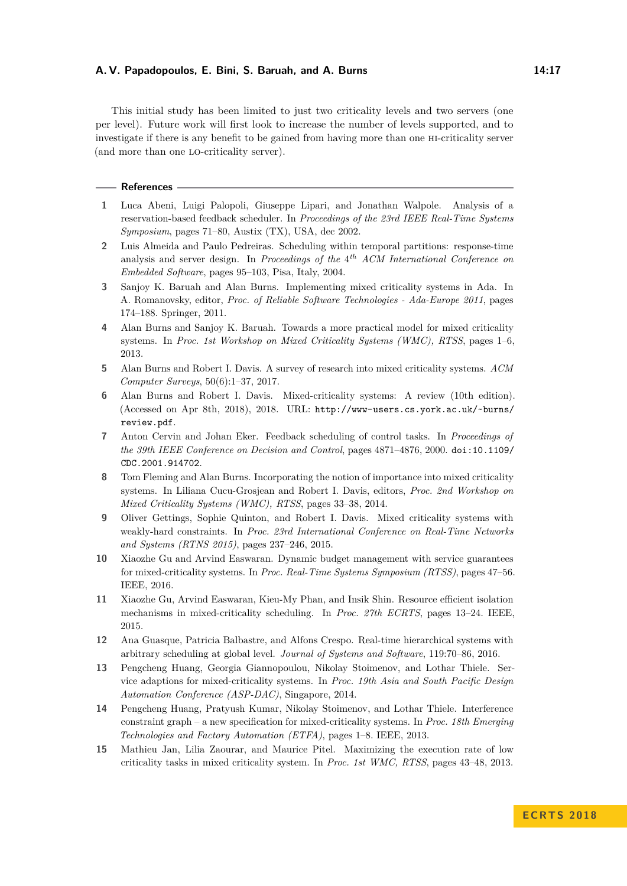This initial study has been limited to just two criticality levels and two servers (one per level). Future work will first look to increase the number of levels supported, and to investigate if there is any benefit to be gained from having more than one hi-criticality server (and more than one lo-criticality server).

#### **References**

- <span id="page-16-3"></span>**1** Luca Abeni, Luigi Palopoli, Giuseppe Lipari, and Jonathan Walpole. Analysis of a reservation-based feedback scheduler. In *Proceedings of the 23rd IEEE Real-Time Systems Symposium*, pages 71–80, Austix (TX), USA, dec 2002.
- <span id="page-16-4"></span>**2** Luis Almeida and Paulo Pedreiras. Scheduling within temporal partitions: response-time analysis and server design. In *Proceedings of the* 4 *th ACM International Conference on Embedded Software*, pages 95–103, Pisa, Italy, 2004.
- <span id="page-16-6"></span>**3** Sanjoy K. Baruah and Alan Burns. Implementing mixed criticality systems in Ada. In A. Romanovsky, editor, *Proc. of Reliable Software Technologies - Ada-Europe 2011*, pages 174–188. Springer, 2011.
- <span id="page-16-10"></span>**4** Alan Burns and Sanjoy K. Baruah. Towards a more practical model for mixed criticality systems. In *Proc. 1st Workshop on Mixed Criticality Systems (WMC), RTSS*, pages 1–6, 2013.
- <span id="page-16-0"></span>**5** Alan Burns and Robert I. Davis. A survey of research into mixed criticality systems. *ACM Computer Surveys*, 50(6):1–37, 2017.
- <span id="page-16-1"></span>**6** Alan Burns and Robert I. Davis. Mixed-criticality systems: A review (10th edition). (Accessed on Apr 8th, 2018), 2018. URL: [http://www-users.cs.york.ac.uk/~burns/](http://www-users.cs.york.ac.uk/~burns/review.pdf) [review.pdf](http://www-users.cs.york.ac.uk/~burns/review.pdf).
- <span id="page-16-2"></span>**7** Anton Cervin and Johan Eker. Feedback scheduling of control tasks. In *Proceedings of the 39th IEEE Conference on Decision and Control*, pages 4871–4876, 2000. [doi:10.1109/](http://dx.doi.org/10.1109/CDC.2001.914702) [CDC.2001.914702](http://dx.doi.org/10.1109/CDC.2001.914702).
- <span id="page-16-12"></span>**8** Tom Fleming and Alan Burns. Incorporating the notion of importance into mixed criticality systems. In Liliana Cucu-Grosjean and Robert I. Davis, editors, *Proc. 2nd Workshop on Mixed Criticality Systems (WMC), RTSS*, pages 33–38, 2014.
- <span id="page-16-9"></span>**9** Oliver Gettings, Sophie Quinton, and Robert I. Davis. Mixed criticality systems with weakly-hard constraints. In *Proc. 23rd International Conference on Real-Time Networks and Systems (RTNS 2015)*, pages 237–246, 2015.
- <span id="page-16-11"></span>**10** Xiaozhe Gu and Arvind Easwaran. Dynamic budget management with service guarantees for mixed-criticality systems. In *Proc. Real-Time Systems Symposium (RTSS)*, pages 47–56. IEEE, 2016.
- <span id="page-16-14"></span>**11** Xiaozhe Gu, Arvind Easwaran, Kieu-My Phan, and Insik Shin. Resource efficient isolation mechanisms in mixed-criticality scheduling. In *Proc. 27th ECRTS*, pages 13–24. IEEE, 2015.
- <span id="page-16-5"></span>**12** Ana Guasque, Patricia Balbastre, and Alfons Crespo. Real-time hierarchical systems with arbitrary scheduling at global level. *Journal of Systems and Software*, 119:70–86, 2016.
- <span id="page-16-7"></span>**13** Pengcheng Huang, Georgia Giannopoulou, Nikolay Stoimenov, and Lothar Thiele. Service adaptions for mixed-criticality systems. In *Proc. 19th Asia and South Pacific Design Automation Conference (ASP-DAC)*, Singapore, 2014.
- <span id="page-16-13"></span>**14** Pengcheng Huang, Pratyush Kumar, Nikolay Stoimenov, and Lothar Thiele. Interference constraint graph – a new specification for mixed-criticality systems. In *Proc. 18th Emerging Technologies and Factory Automation (ETFA)*, pages 1–8. IEEE, 2013.
- <span id="page-16-8"></span>**15** Mathieu Jan, Lilia Zaourar, and Maurice Pitel. Maximizing the execution rate of low criticality tasks in mixed criticality system. In *Proc. 1st WMC, RTSS*, pages 43–48, 2013.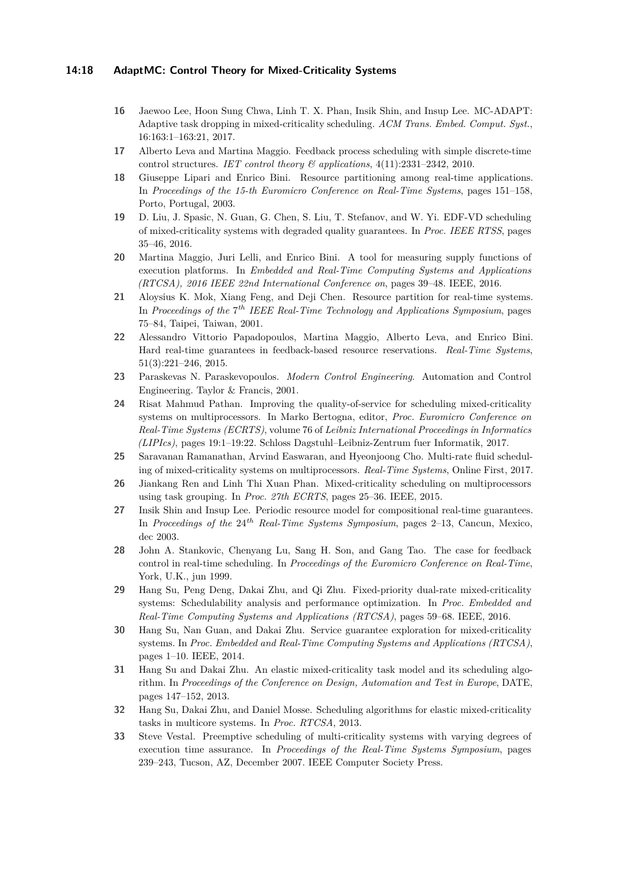#### **14:18 AdaptMC: Control Theory for Mixed-Criticality Systems**

- <span id="page-17-17"></span>**16** Jaewoo Lee, Hoon Sung Chwa, Linh T. X. Phan, Insik Shin, and Insup Lee. MC-ADAPT: Adaptive task dropping in mixed-criticality scheduling. *ACM Trans. Embed. Comput. Syst.*, 16:163:1–163:21, 2017.
- <span id="page-17-6"></span>**17** Alberto Leva and Martina Maggio. Feedback process scheduling with simple discrete-time control structures. *IET control theory & applications*, 4(11):2331–2342, 2010.
- <span id="page-17-4"></span>**18** Giuseppe Lipari and Enrico Bini. Resource partitioning among real-time applications. In *Proceedings of the 15-th Euromicro Conference on Real-Time Systems*, pages 151–158, Porto, Portugal, 2003.
- <span id="page-17-14"></span>**19** D. Liu, J. Spasic, N. Guan, G. Chen, S. Liu, T. Stefanov, and W. Yi. EDF-VD scheduling of mixed-criticality systems with degraded quality guarantees. In *Proc. IEEE RTSS*, pages 35–46, 2016.
- <span id="page-17-8"></span>**20** Martina Maggio, Juri Lelli, and Enrico Bini. A tool for measuring supply functions of execution platforms. In *Embedded and Real-Time Computing Systems and Applications (RTCSA), 2016 IEEE 22nd International Conference on*, pages 39–48. IEEE, 2016.
- <span id="page-17-3"></span>**21** Aloysius K. Mok, Xiang Feng, and Deji Chen. Resource partition for real-time systems. In *Proceedings of the* 7 *th IEEE Real-Time Technology and Applications Symposium*, pages 75–84, Taipei, Taiwan, 2001.
- <span id="page-17-1"></span>**22** Alessandro Vittorio Papadopoulos, Martina Maggio, Alberto Leva, and Enrico Bini. Hard real-time guarantees in feedback-based resource reservations. *Real-Time Systems*, 51(3):221–246, 2015.
- <span id="page-17-7"></span>**23** Paraskevas N. Paraskevopoulos. *Modern Control Engineering*. Automation and Control Engineering. Taylor & Francis, 2001.
- <span id="page-17-15"></span>**24** Risat Mahmud Pathan. Improving the quality-of-service for scheduling mixed-criticality systems on multiprocessors. In Marko Bertogna, editor, *Proc. Euromicro Conference on Real-Time Systems (ECRTS)*, volume 76 of *Leibniz International Proceedings in Informatics (LIPIcs)*, pages 19:1–19:22. Schloss Dagstuhl–Leibniz-Zentrum fuer Informatik, 2017.
- <span id="page-17-13"></span>**25** Saravanan Ramanathan, Arvind Easwaran, and Hyeonjoong Cho. Multi-rate fluid scheduling of mixed-criticality systems on multiprocessors. *Real-Time Systems*, Online First, 2017.
- <span id="page-17-16"></span>**26** Jiankang Ren and Linh Thi Xuan Phan. Mixed-criticality scheduling on multiprocessors using task grouping. In *Proc. 27th ECRTS*, pages 25–36. IEEE, 2015.
- <span id="page-17-5"></span>**27** Insik Shin and Insup Lee. Periodic resource model for compositional real-time guarantees. In *Proceedings of the* 24*th Real-Time Systems Symposium*, pages 2–13, Cancun, Mexico, dec 2003.
- <span id="page-17-2"></span>**28** John A. Stankovic, Chenyang Lu, Sang H. Son, and Gang Tao. The case for feedback control in real-time scheduling. In *Proceedings of the Euromicro Conference on Real-Time*, York, U.K., jun 1999.
- <span id="page-17-12"></span>**29** Hang Su, Peng Deng, Dakai Zhu, and Qi Zhu. Fixed-priority dual-rate mixed-criticality systems: Schedulability analysis and performance optimization. In *Proc. Embedded and Real-Time Computing Systems and Applications (RTCSA)*, pages 59–68. IEEE, 2016.
- <span id="page-17-11"></span>**30** Hang Su, Nan Guan, and Dakai Zhu. Service guarantee exploration for mixed-criticality systems. In *Proc. Embedded and Real-Time Computing Systems and Applications (RTCSA)*, pages 1–10. IEEE, 2014.
- <span id="page-17-10"></span>**31** Hang Su and Dakai Zhu. An elastic mixed-criticality task model and its scheduling algorithm. In *Proceedings of the Conference on Design, Automation and Test in Europe*, DATE, pages 147–152, 2013.
- <span id="page-17-9"></span>**32** Hang Su, Dakai Zhu, and Daniel Mosse. Scheduling algorithms for elastic mixed-criticality tasks in multicore systems. In *Proc. RTCSA*, 2013.
- <span id="page-17-0"></span>**33** Steve Vestal. Preemptive scheduling of multi-criticality systems with varying degrees of execution time assurance. In *Proceedings of the Real-Time Systems Symposium*, pages 239–243, Tucson, AZ, December 2007. IEEE Computer Society Press.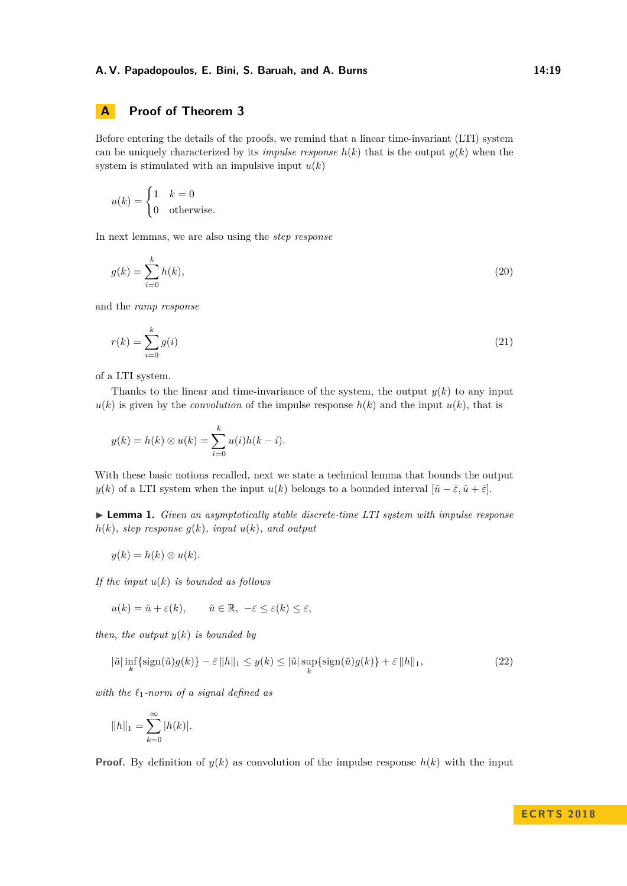# <span id="page-18-0"></span>**A Proof of Theorem [3](#page-12-1)**

Before entering the details of the proofs, we remind that a linear time-invariant (LTI) system can be uniquely characterized by its *impulse response*  $h(k)$  that is the output  $y(k)$  when the system is stimulated with an impulsive input  $u(k)$ 

$$
u(k) = \begin{cases} 1 & k = 0 \\ 0 & \text{otherwise.} \end{cases}
$$

In next lemmas, we are also using the *step response*

$$
g(k) = \sum_{i=0}^{k} h(k),
$$
\n(20)

and the *ramp response*

$$
r(k) = \sum_{i=0}^{k} g(i) \tag{21}
$$

of a LTI system.

Thanks to the linear and time-invariance of the system, the output  $y(k)$  to any input  $u(k)$  is given by the *convolution* of the impulse response  $h(k)$  and the input  $u(k)$ , that is

$$
y(k) = h(k) \otimes u(k) = \sum_{i=0}^{k} u(i)h(k-i).
$$

With these basic notions recalled, next we state a technical lemma that bounds the output *y*(*k*) of a LTI system when the input *u*(*k*) belongs to a bounded interval  $[\tilde{u} - \bar{\varepsilon}, \tilde{u} + \bar{\varepsilon}]$ .

<span id="page-18-1"></span>I **Lemma 1.** *Given an asymptotically stable discrete-time LTI system with impulse response*  $h(k)$ *, step response*  $g(k)$ *, input*  $u(k)$ *, and output* 

$$
y(k) = h(k) \otimes u(k).
$$

*If the input u*(*k*) *is bounded as follows*

$$
u(k) = \tilde{u} + \varepsilon(k), \qquad \tilde{u} \in \mathbb{R}, \ -\bar{\varepsilon} \le \varepsilon(k) \le \bar{\varepsilon},
$$

*then, the output y*(*k*) *is bounded by*

<span id="page-18-2"></span>
$$
|\tilde{u}| \inf_{k} \{ \operatorname{sign}(\tilde{u})g(k) \} - \bar{\varepsilon} \|h\|_{1} \le y(k) \le |\tilde{u}| \sup_{k} \{ \operatorname{sign}(\tilde{u})g(k) \} + \bar{\varepsilon} \|h\|_{1},
$$
\n(22)

with the  $\ell_1$ -norm of a signal defined as

$$
||h||_1 = \sum_{k=0}^{\infty} |h(k)|.
$$

**Proof.** By definition of  $y(k)$  as convolution of the impulse response  $h(k)$  with the input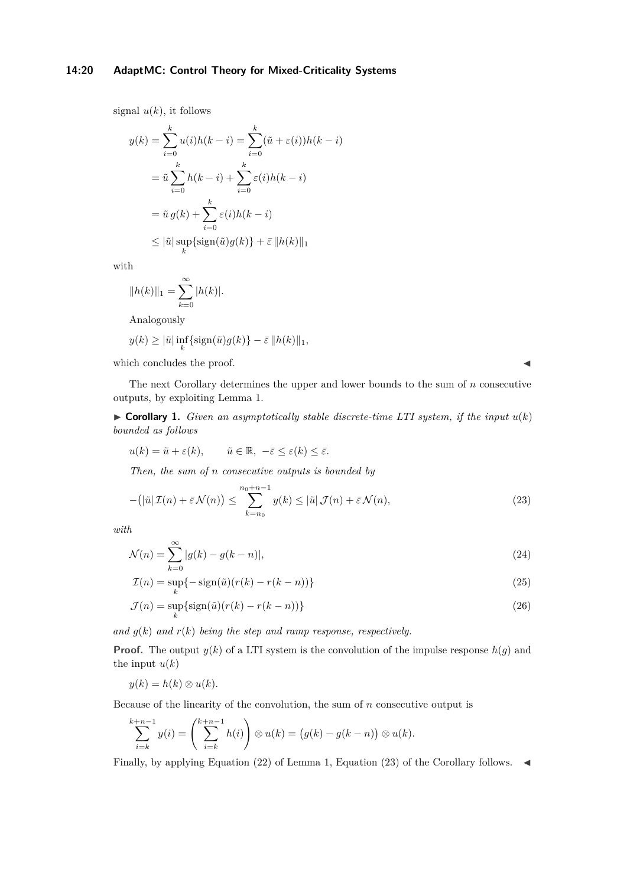### **14:20 AdaptMC: Control Theory for Mixed-Criticality Systems**

signal  $u(k)$ , it follows

$$
y(k) = \sum_{i=0}^{k} u(i)h(k-i) = \sum_{i=0}^{k} (\tilde{u} + \varepsilon(i))h(k-i)
$$

$$
= \tilde{u} \sum_{i=0}^{k} h(k-i) + \sum_{i=0}^{k} \varepsilon(i)h(k-i)
$$

$$
= \tilde{u} g(k) + \sum_{i=0}^{k} \varepsilon(i)h(k-i)
$$

$$
\leq |\tilde{u}| \sup_{k} {\{\text{sign}(\tilde{u})g(k)\} + \bar{\varepsilon} ||h(k)||_{1}}
$$

with

$$
||h(k)||_1 = \sum_{k=0}^{\infty} |h(k)|.
$$

Analogously

$$
y(k) \ge |\tilde{u}| \inf_{k} \{ \operatorname{sign}(\tilde{u})g(k) \} - \bar{\varepsilon} ||h(k)||_1,
$$

which concludes the proof.  $\blacksquare$ 

The next Corollary determines the upper and lower bounds to the sum of *n* consecutive outputs, by exploiting Lemma [1.](#page-18-1)

<span id="page-19-1"></span> $\triangleright$  **Corollary 1.** *Given an asymptotically stable discrete-time LTI system, if the input*  $u(k)$ *bounded as follows*

$$
u(k) = \tilde{u} + \varepsilon(k), \qquad \tilde{u} \in \mathbb{R}, \ -\bar{\varepsilon} \le \varepsilon(k) \le \bar{\varepsilon}.
$$

*Then, the sum of n consecutive outputs is bounded by*

$$
-(|\tilde{u}|\mathcal{I}(n)+\bar{\varepsilon}\mathcal{N}(n)) \leq \sum_{k=n_0}^{n_0+n-1} y(k) \leq |\tilde{u}|\mathcal{J}(n)+\bar{\varepsilon}\mathcal{N}(n),
$$
\n(23)

*with*

$$
\mathcal{N}(n) = \sum_{k=0}^{\infty} |g(k) - g(k - n)|,\tag{24}
$$

$$
\mathcal{I}(n) = \sup_{k} \{-\operatorname{sign}(\tilde{u})(r(k) - r(k - n))\}
$$
\n(25)

$$
\mathcal{J}(n) = \sup_{k} \{ \text{sign}(\tilde{u}) (r(k) - r(k - n)) \}
$$
\n(26)

*and*  $q(k)$  *and*  $r(k)$  *being the step and ramp response, respectively.* 

**Proof.** The output  $y(k)$  of a LTI system is the convolution of the impulse response  $h(g)$  and the input  $u(k)$ 

$$
y(k) = h(k) \otimes u(k).
$$

Because of the linearity of the convolution, the sum of *n* consecutive output is

$$
\sum_{i=k}^{k+n-1} y(i) = \left(\sum_{i=k}^{k+n-1} h(i)\right) \otimes u(k) = \big(g(k) - g(k-n)\big) \otimes u(k).
$$

Finally, by applying Equation [\(22\)](#page-18-2) of Lemma [1,](#page-18-1) Equation [\(23\)](#page-19-0) of the Corollary follows.  $\triangleleft$ 

<span id="page-19-0"></span>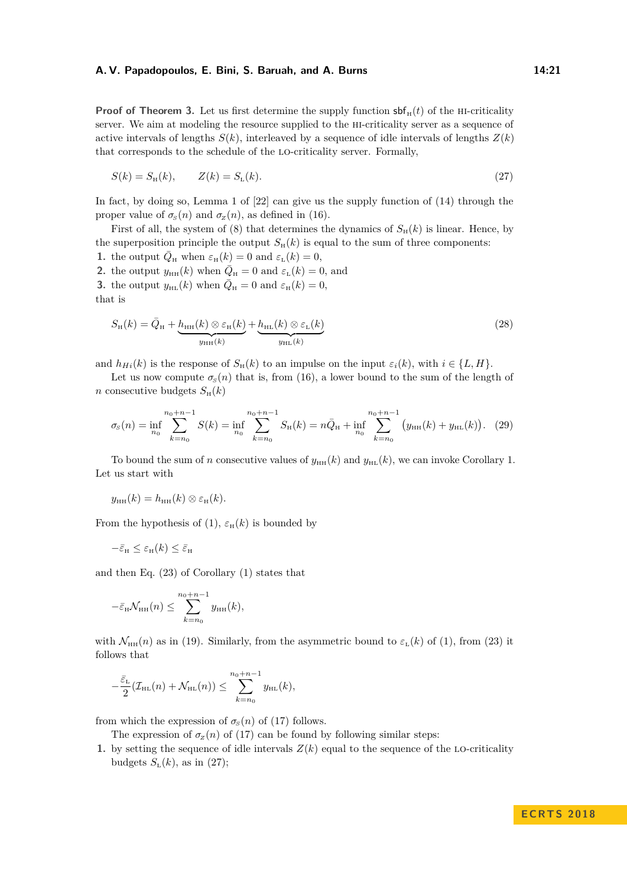**Proof of Theorem [3.](#page-12-1)** Let us first determine the supply function  $\text{sf}_{H}(t)$  of the HI-criticality server. We aim at modeling the resource supplied to the hi-criticality server as a sequence of active intervals of lengths  $S(k)$ , interleaved by a sequence of idle intervals of lengths  $Z(k)$ that corresponds to the schedule of the lo-criticality server. Formally,

<span id="page-20-0"></span>
$$
S(k) = S_{\rm H}(k), \t Z(k) = S_{\rm L}(k). \t (27)
$$

In fact, by doing so, Lemma 1 of [\[22\]](#page-17-1) can give us the supply function of [\(14\)](#page-10-2) through the proper value of  $\sigma_s(n)$  and  $\sigma_z(n)$ , as defined in [\(16\)](#page-10-3).

First of all, the system of [\(8\)](#page-6-2) that determines the dynamics of  $S_H(k)$  is linear. Hence, by the superposition principle the output  $S_H(k)$  is equal to the sum of three components:

**1.** the output  $\overline{Q}_{\text{H}}$  when  $\varepsilon_{\text{H}}(k) = 0$  and  $\varepsilon_{\text{L}}(k) = 0$ , **2.** the output  $y_{HH}(k)$  when  $\overline{Q}_H = 0$  and  $\varepsilon_L(k) = 0$ , and **3.** the output  $y_{HL}(k)$  when  $\overline{Q}_H = 0$  and  $\varepsilon_H(k) = 0$ , that is

<span id="page-20-1"></span>
$$
S_{\rm H}(k) = \bar{Q}_{\rm H} + \underbrace{h_{\rm HH}(k) \otimes \varepsilon_{\rm H}(k)}_{y_{\rm HH}(k)} + \underbrace{h_{\rm HL}(k) \otimes \varepsilon_{\rm L}(k)}_{y_{\rm HL}(k)}
$$
(28)

and  $h_{H_i}(k)$  is the response of  $S_H(k)$  to an impulse on the input  $\varepsilon_i(k)$ , with  $i \in \{L, H\}$ .

Let us now compute  $\sigma_s(n)$  that is, from [\(16\)](#page-10-3), a lower bound to the sum of the length of *n* consecutive budgets  $S_H(k)$ 

$$
\sigma_S(n) = \inf_{n_0} \sum_{k=n_0}^{n_0+n-1} S(k) = \inf_{n_0} \sum_{k=n_0}^{n_0+n-1} S_{\rm H}(k) = n\bar{Q}_{\rm H} + \inf_{n_0} \sum_{k=n_0}^{n_0+n-1} \left( y_{\rm H}(k) + y_{\rm HL}(k) \right). \tag{29}
$$

To bound the sum of *n* consecutive values of  $y_{HH}(k)$  and  $y_{HL}(k)$ , we can invoke Corollary [1.](#page-19-1) Let us start with

$$
y_{\rm HH}(k) = h_{\rm HH}(k) \otimes \varepsilon_{\rm H}(k).
$$

From the hypothesis of [\(1\)](#page-5-1),  $\varepsilon_{\rm H}(k)$  is bounded by

$$
-\bar{\varepsilon}_{\scriptscriptstyle\rm H} \leq \varepsilon_{\scriptscriptstyle\rm H}(k) \leq \bar{\varepsilon}_{\scriptscriptstyle\rm H}
$$

and then Eq. [\(23\)](#page-19-0) of Corollary [\(1\)](#page-5-1) states that

$$
-\bar{\varepsilon}_{\rm H} \mathcal{N}_{\rm HH}(n) \leq \sum_{k=n_0}^{n_0+n-1} y_{\rm HH}(k),
$$

with  $\mathcal{N}_{HH}(n)$  as in [\(19\)](#page-12-1). Similarly, from the asymmetric bound to  $\varepsilon_L(k)$  of [\(1\)](#page-5-1), from [\(23\)](#page-19-0) it follows that

$$
-\frac{\bar{\varepsilon}_{\rm L}}{2}(\mathcal{I}_{\rm HL}(n)+\mathcal{N}_{\rm HL}(n))\leq \sum_{k=n_0}^{n_0+n-1}y_{\rm HL}(k),
$$

from which the expression of  $\sigma_s(n)$  of [\(17\)](#page-11-1) follows.

The expression of  $\sigma_z(n)$  of [\(17\)](#page-11-1) can be found by following similar steps:

**1.** by setting the sequence of idle intervals  $Z(k)$  equal to the sequence of the LO-criticality budgets  $S_{\text{L}}(k)$ , as in [\(27\)](#page-20-0);